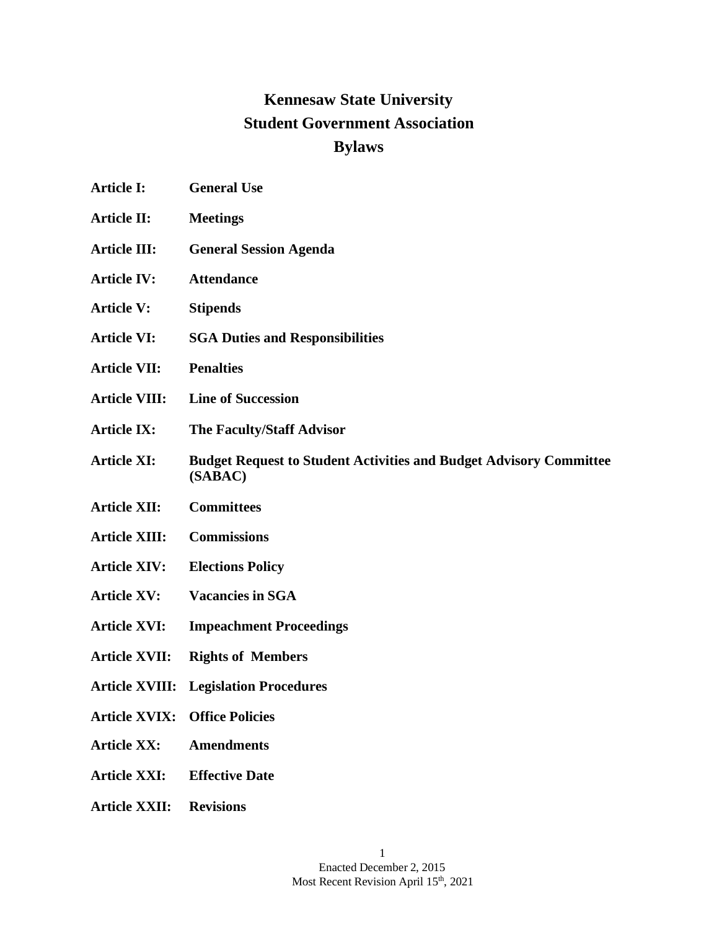# **Kennesaw State University Student Government Association Bylaws**

- **Article I: General Use**
- **Article II: Meetings**
- **Article III: General Session Agenda**
- **Article IV: Attendance**
- **Article V: Stipends**
- **Article VI: SGA Duties and Responsibilities**
- **Article VII: Penalties**
- **Article VIII: Line of Succession**
- **Article IX: The Faculty/Staff Advisor**
- **Article XI: Budget Request to Student Activities and Budget Advisory Committee (SABAC)**
- **Article XII: Committees**
- **Article XIII: Commissions**
- **Article XIV: Elections Policy**
- **Article XV: Vacancies in SGA**
- **Article XVI: Impeachment Proceedings**
- **Article XVII: Rights of Members**
- **Article XVIII: Legislation Procedures**
- **Article XVIX: Office Policies**
- **Article XX: Amendments**
- **Article XXI: Effective Date**
- **Article XXII: Revisions**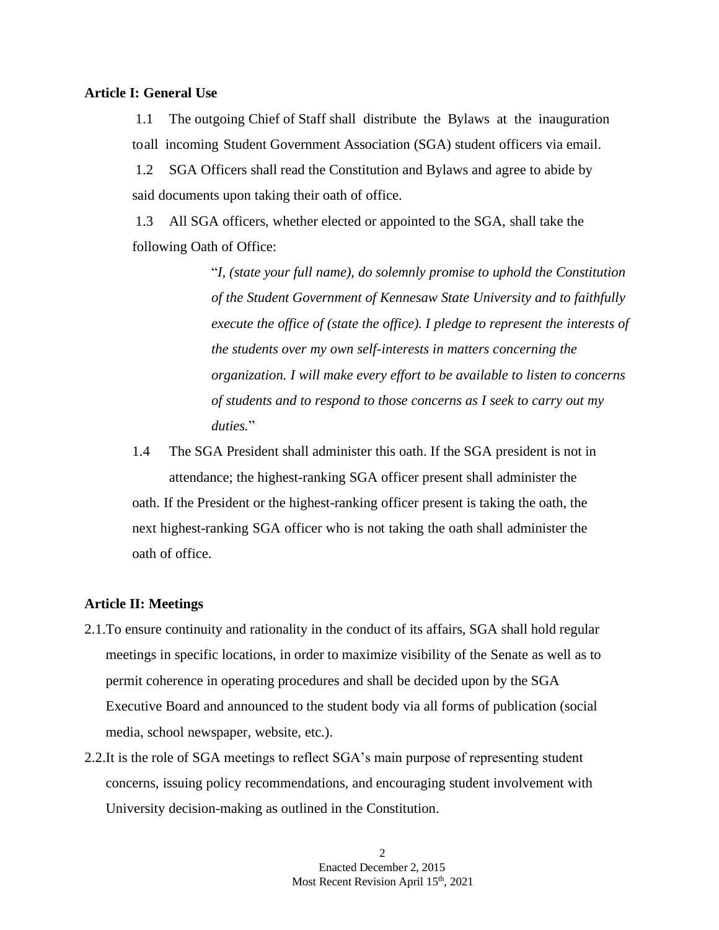### **Article I: General Use**

1.1 The outgoing Chief of Staff shall distribute the Bylaws at the inauguration to all incoming Student Government Association (SGA) student officers via email.

1.2 SGA Officers shall read the Constitution and Bylaws and agree to abide by said documents upon taking their oath of office.

1.3 All SGA officers, whether elected or appointed to the SGA, shall take the following Oath of Office:

> "*I, (state your full name), do solemnly promise to uphold the Constitution of the Student Government of Kennesaw State University and to faithfully execute the office of (state the office). I pledge to represent the interests of the students over my own self-interests in matters concerning the organization. I will make every effort to be available to listen to concerns of students and to respond to those concerns as I seek to carry out my duties.*"

1.4 The SGA President shall administer this oath. If the SGA president is not in attendance; the highest-ranking SGA officer present shall administer the oath. If the President or the highest-ranking officer present is taking the oath, the next highest-ranking SGA officer who is not taking the oath shall administer the oath of office.

### **Article II: Meetings**

- 2.1.To ensure continuity and rationality in the conduct of its affairs, SGA shall hold regular meetings in specific locations, in order to maximize visibility of the Senate as well as to permit coherence in operating procedures and shall be decided upon by the SGA Executive Board and announced to the student body via all forms of publication (social media, school newspaper, website, etc.).
- 2.2.It is the role of SGA meetings to reflect SGA's main purpose of representing student concerns, issuing policy recommendations, and encouraging student involvement with University decision-making as outlined in the Constitution.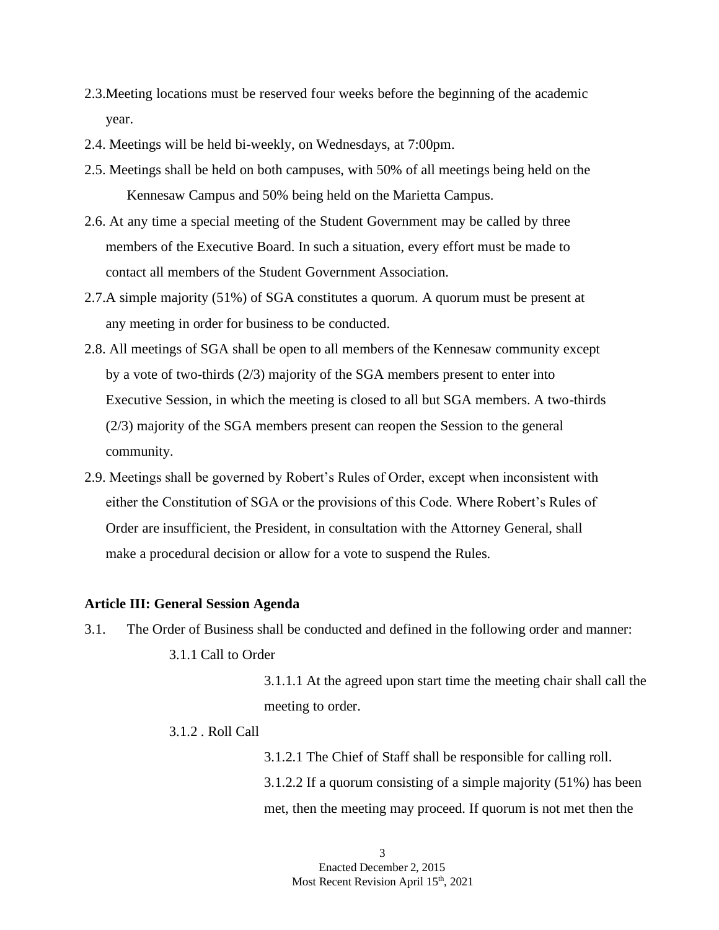- 2.3.Meeting locations must be reserved four weeks before the beginning of the academic year.
- 2.4. Meetings will be held bi-weekly, on Wednesdays, at 7:00pm.
- 2.5. Meetings shall be held on both campuses, with 50% of all meetings being held on the Kennesaw Campus and 50% being held on the Marietta Campus.
- 2.6. At any time a special meeting of the Student Government may be called by three members of the Executive Board. In such a situation, every effort must be made to contact all members of the Student Government Association.
- 2.7.A simple majority (51%) of SGA constitutes a quorum. A quorum must be present at any meeting in order for business to be conducted.
- 2.8. All meetings of SGA shall be open to all members of the Kennesaw community except by a vote of two-thirds (2/3) majority of the SGA members present to enter into Executive Session, in which the meeting is closed to all but SGA members. A two-thirds (2/3) majority of the SGA members present can reopen the Session to the general community.
- 2.9. Meetings shall be governed by Robert's Rules of Order, except when inconsistent with either the Constitution of SGA or the provisions of this Code. Where Robert's Rules of Order are insufficient, the President, in consultation with the Attorney General, shall make a procedural decision or allow for a vote to suspend the Rules.

### **Article III: General Session Agenda**

3.1. The Order of Business shall be conducted and defined in the following order and manner: 3.1.1 Call to Order

> 3.1.1.1 At the agreed upon start time the meeting chair shall call the meeting to order.

### 3.1.2 . Roll Call

3.1.2.1 The Chief of Staff shall be responsible for calling roll. 3.1.2.2 If a quorum consisting of a simple majority (51%) has been met, then the meeting may proceed. If quorum is not met then the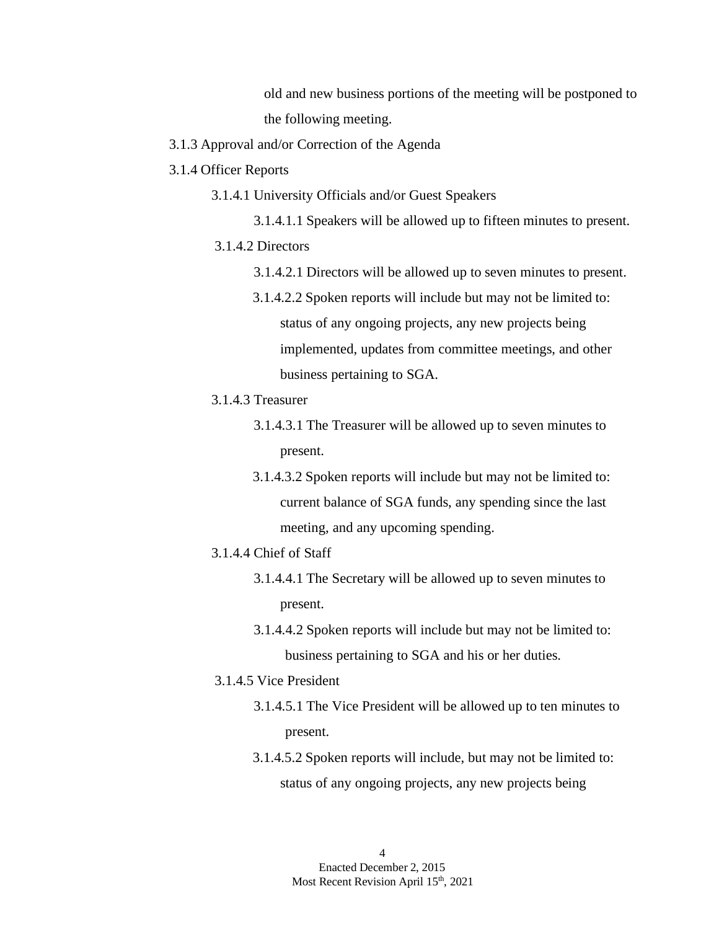old and new business portions of the meeting will be postponed to the following meeting.

- 3.1.3 Approval and/or Correction of the Agenda
- 3.1.4 Officer Reports
	- 3.1.4.1 University Officials and/or Guest Speakers
	- 3.1.4.1.1 Speakers will be allowed up to fifteen minutes to present. 3.1.4.2 Directors
		- 3.1.4.2.1 Directors will be allowed up to seven minutes to present.
		- 3.1.4.2.2 Spoken reports will include but may not be limited to: status of any ongoing projects, any new projects being implemented, updates from committee meetings, and other business pertaining to SGA.
	- 3.1.4.3 Treasurer
		- 3.1.4.3.1 The Treasurer will be allowed up to seven minutes to present.
		- 3.1.4.3.2 Spoken reports will include but may not be limited to: current balance of SGA funds, any spending since the last meeting, and any upcoming spending.
	- 3.1.4.4 Chief of Staff
		- 3.1.4.4.1 The Secretary will be allowed up to seven minutes to present.
		- 3.1.4.4.2 Spoken reports will include but may not be limited to: business pertaining to SGA and his or her duties.
	- 3.1.4.5 Vice President
		- 3.1.4.5.1 The Vice President will be allowed up to ten minutes to present.
		- 3.1.4.5.2 Spoken reports will include, but may not be limited to: status of any ongoing projects, any new projects being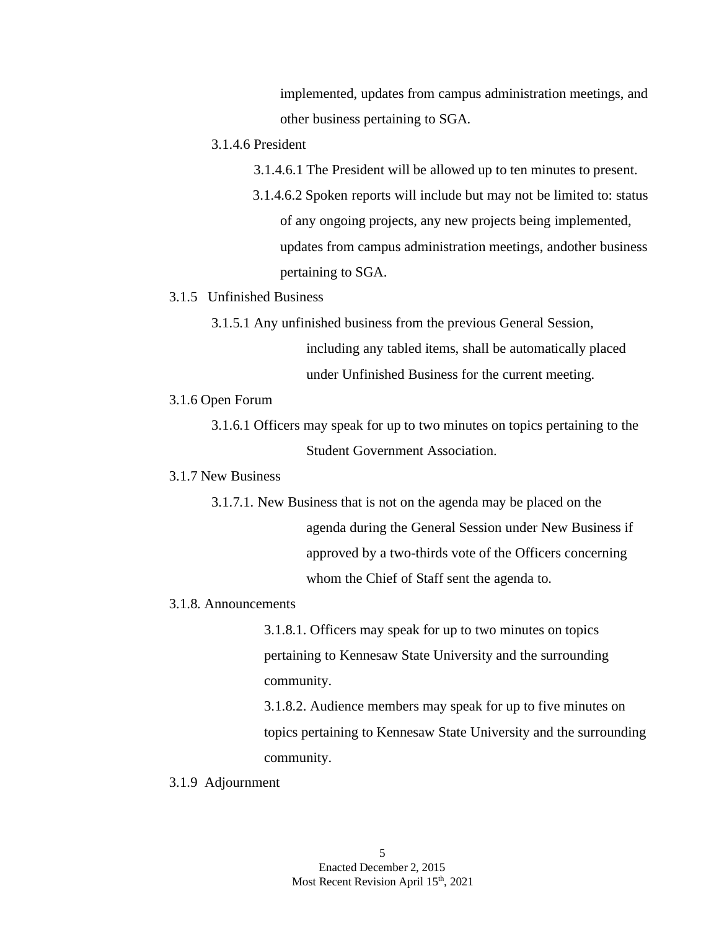implemented, updates from campus administration meetings, and other business pertaining to SGA.

### 3.1.4.6 President

- 3.1.4.6.1 The President will be allowed up to ten minutes to present.
- 3.1.4.6.2 Spoken reports will include but may not be limited to: status of any ongoing projects, any new projects being implemented, updates from campus administration meetings, andother business pertaining to SGA.

### 3.1.5 Unfinished Business

3.1.5.1 Any unfinished business from the previous General Session,

including any tabled items, shall be automatically placed under Unfinished Business for the current meeting.

### 3.1.6 Open Forum

3.1.6.1 Officers may speak for up to two minutes on topics pertaining to the Student Government Association.

### 3.1.7 New Business

3.1.7.1. New Business that is not on the agenda may be placed on the agenda during the General Session under New Business if approved by a two-thirds vote of the Officers concerning whom the Chief of Staff sent the agenda to.

### 3.1.8. Announcements

3.1.8.1. Officers may speak for up to two minutes on topics pertaining to Kennesaw State University and the surrounding community.

3.1.8.2. Audience members may speak for up to five minutes on topics pertaining to Kennesaw State University and the surrounding community.

#### 3.1.9 Adjournment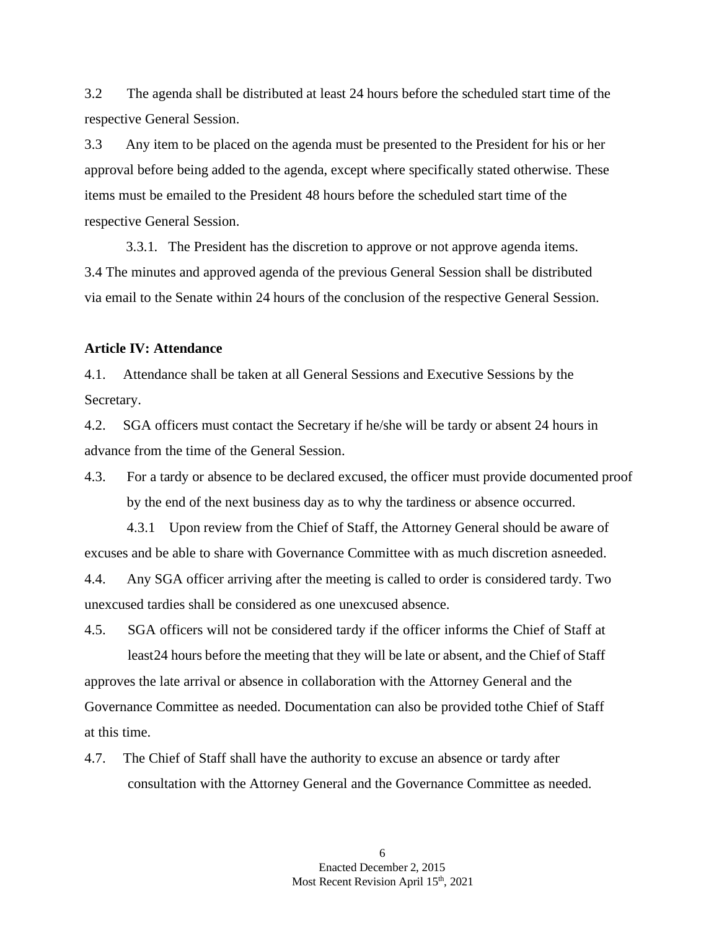3.2 The agenda shall be distributed at least 24 hours before the scheduled start time of the respective General Session.

3.3 Any item to be placed on the agenda must be presented to the President for his or her approval before being added to the agenda, except where specifically stated otherwise. These items must be emailed to the President 48 hours before the scheduled start time of the respective General Session.

3.3.1. The President has the discretion to approve or not approve agenda items. 3.4 The minutes and approved agenda of the previous General Session shall be distributed via email to the Senate within 24 hours of the conclusion of the respective General Session.

### **Article IV: Attendance**

4.1. Attendance shall be taken at all General Sessions and Executive Sessions by the Secretary.

4.2. SGA officers must contact the Secretary if he/she will be tardy or absent 24 hours in advance from the time of the General Session.

4.3. For a tardy or absence to be declared excused, the officer must provide documented proof by the end of the next business day as to why the tardiness or absence occurred.

4.3.1 Upon review from the Chief of Staff, the Attorney General should be aware of excuses and be able to share with Governance Committee with as much discretion asneeded.

4.4. Any SGA officer arriving after the meeting is called to order is considered tardy. Two unexcused tardies shall be considered as one unexcused absence.

4.5. SGA officers will not be considered tardy if the officer informs the Chief of Staff at least24 hours before the meeting that they will be late or absent, and the Chief of Staff approves the late arrival or absence in collaboration with the Attorney General and the Governance Committee as needed. Documentation can also be provided tothe Chief of Staff at this time.

4.7. The Chief of Staff shall have the authority to excuse an absence or tardy after consultation with the Attorney General and the Governance Committee as needed.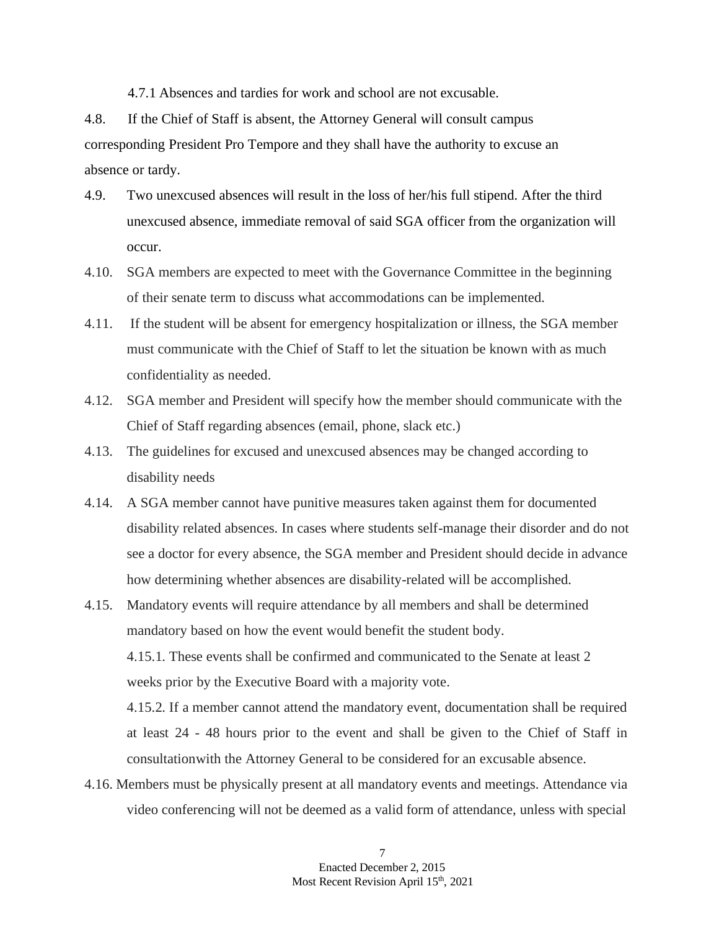4.7.1 Absences and tardies for work and school are not excusable.

4.8. If the Chief of Staff is absent, the Attorney General will consult campus corresponding President Pro Tempore and they shall have the authority to excuse an absence or tardy.

- 4.9. Two unexcused absences will result in the loss of her/his full stipend. After the third unexcused absence, immediate removal of said SGA officer from the organization will occur.
- 4.10. SGA members are expected to meet with the Governance Committee in the beginning of their senate term to discuss what accommodations can be implemented.
- 4.11. If the student will be absent for emergency hospitalization or illness, the SGA member must communicate with the Chief of Staff to let the situation be known with as much confidentiality as needed.
- 4.12. SGA member and President will specify how the member should communicate with the Chief of Staff regarding absences (email, phone, slack etc.)
- 4.13. The guidelines for excused and unexcused absences may be changed according to disability needs
- 4.14. A SGA member cannot have punitive measures taken against them for documented disability related absences. In cases where students self-manage their disorder and do not see a doctor for every absence, the SGA member and President should decide in advance how determining whether absences are disability-related will be accomplished.

4.15. Mandatory events will require attendance by all members and shall be determined mandatory based on how the event would benefit the student body. 4.15.1. These events shall be confirmed and communicated to the Senate at least 2 weeks prior by the Executive Board with a majority vote. 4.15.2. If a member cannot attend the mandatory event, documentation shall be required at least 24 - 48 hours prior to the event and shall be given to the Chief of Staff in

4.16. Members must be physically present at all mandatory events and meetings. Attendance via video conferencing will not be deemed as a valid form of attendance, unless with special

consultationwith the Attorney General to be considered for an excusable absence.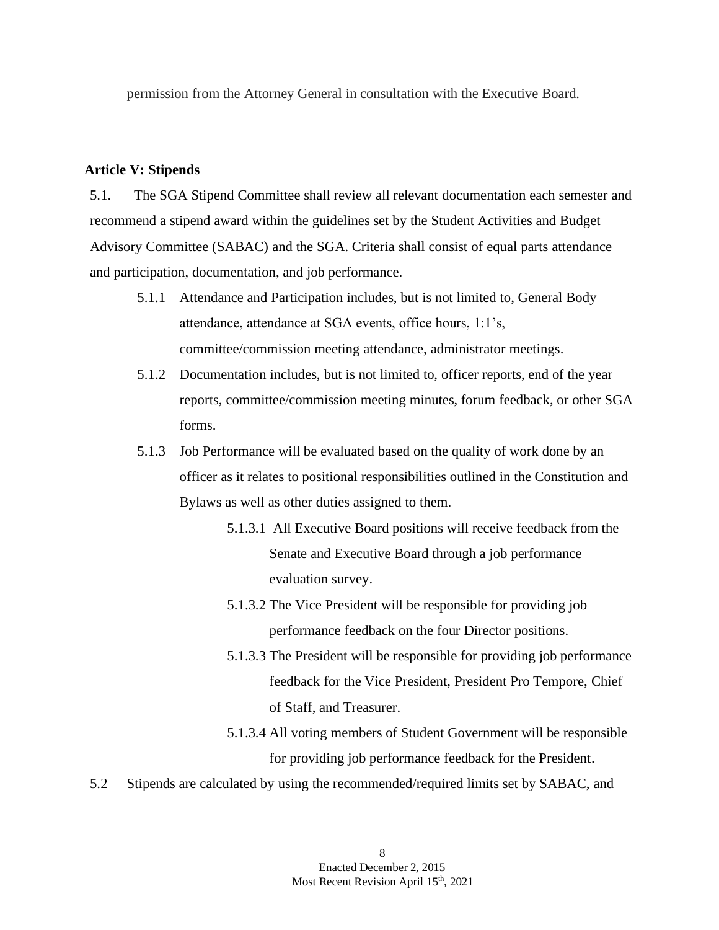permission from the Attorney General in consultation with the Executive Board.

### **Article V: Stipends**

5.1. The SGA Stipend Committee shall review all relevant documentation each semester and recommend a stipend award within the guidelines set by the Student Activities and Budget Advisory Committee (SABAC) and the SGA. Criteria shall consist of equal parts attendance and participation, documentation, and job performance.

- 5.1.1 Attendance and Participation includes, but is not limited to, General Body attendance, attendance at SGA events, office hours, 1:1's, committee/commission meeting attendance, administrator meetings.
- 5.1.2 Documentation includes, but is not limited to, officer reports, end of the year reports, committee/commission meeting minutes, forum feedback, or other SGA forms.
- 5.1.3 Job Performance will be evaluated based on the quality of work done by an officer as it relates to positional responsibilities outlined in the Constitution and Bylaws as well as other duties assigned to them.
	- 5.1.3.1 All Executive Board positions will receive feedback from the Senate and Executive Board through a job performance evaluation survey.
	- 5.1.3.2 The Vice President will be responsible for providing job performance feedback on the four Director positions.
	- 5.1.3.3 The President will be responsible for providing job performance feedback for the Vice President, President Pro Tempore, Chief of Staff, and Treasurer.
	- 5.1.3.4 All voting members of Student Government will be responsible for providing job performance feedback for the President.
- 5.2 Stipends are calculated by using the recommended/required limits set by SABAC, and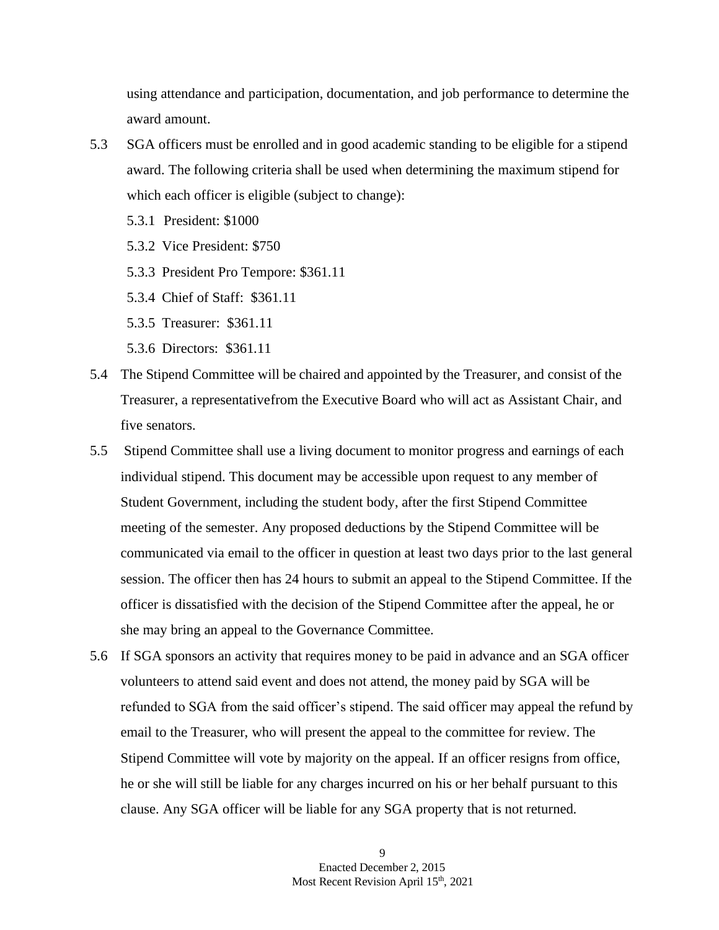using attendance and participation, documentation, and job performance to determine the award amount.

- 5.3 SGA officers must be enrolled and in good academic standing to be eligible for a stipend award. The following criteria shall be used when determining the maximum stipend for which each officer is eligible (subject to change):
	- 5.3.1 President: \$1000
	- 5.3.2 Vice President: \$750
	- 5.3.3 President Pro Tempore: \$361.11
	- 5.3.4 Chief of Staff: \$361.11
	- 5.3.5 Treasurer: \$361.11
	- 5.3.6 Directors: \$361.11
- 5.4 The Stipend Committee will be chaired and appointed by the Treasurer, and consist of the Treasurer, a representativefrom the Executive Board who will act as Assistant Chair, and five senators.
- 5.5 Stipend Committee shall use a living document to monitor progress and earnings of each individual stipend. This document may be accessible upon request to any member of Student Government, including the student body, after the first Stipend Committee meeting of the semester. Any proposed deductions by the Stipend Committee will be communicated via email to the officer in question at least two days prior to the last general session. The officer then has 24 hours to submit an appeal to the Stipend Committee. If the officer is dissatisfied with the decision of the Stipend Committee after the appeal, he or she may bring an appeal to the Governance Committee.
- 5.6 If SGA sponsors an activity that requires money to be paid in advance and an SGA officer volunteers to attend said event and does not attend, the money paid by SGA will be refunded to SGA from the said officer's stipend. The said officer may appeal the refund by email to the Treasurer, who will present the appeal to the committee for review. The Stipend Committee will vote by majority on the appeal. If an officer resigns from office, he or she will still be liable for any charges incurred on his or her behalf pursuant to this clause. Any SGA officer will be liable for any SGA property that is not returned.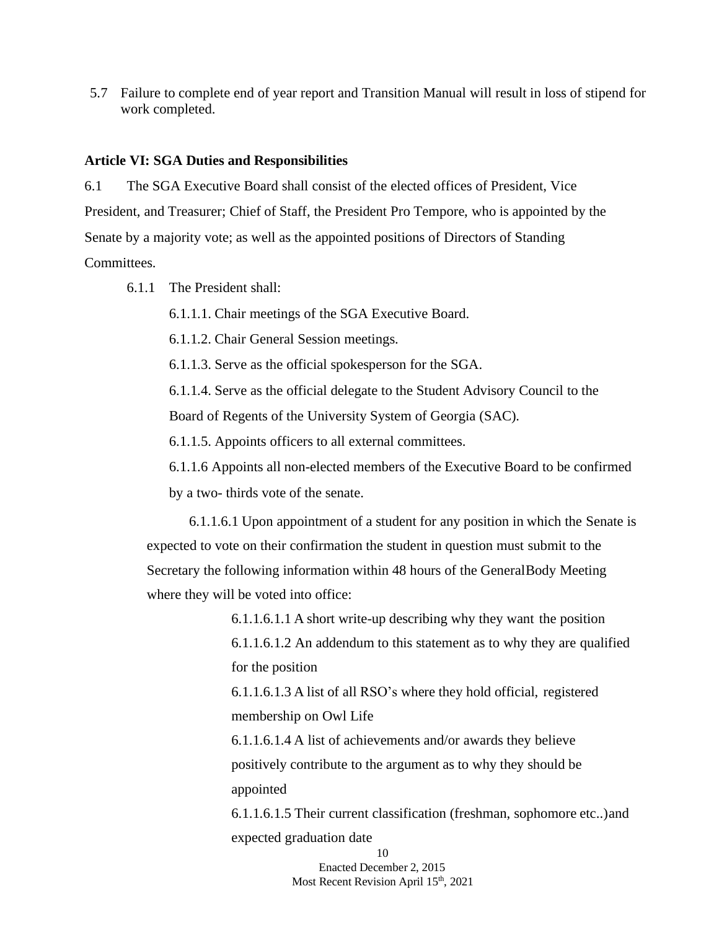5.7 Failure to complete end of year report and Transition Manual will result in loss of stipend for work completed.

#### **Article VI: SGA Duties and Responsibilities**

6.1 The SGA Executive Board shall consist of the elected offices of President, Vice President, and Treasurer; Chief of Staff, the President Pro Tempore, who is appointed by the Senate by a majority vote; as well as the appointed positions of Directors of Standing Committees.

6.1.1 The President shall:

6.1.1.1. Chair meetings of the SGA Executive Board.

6.1.1.2. Chair General Session meetings.

6.1.1.3. Serve as the official spokesperson for the SGA.

6.1.1.4. Serve as the official delegate to the Student Advisory Council to the Board of Regents of the University System of Georgia (SAC).

6.1.1.5. Appoints officers to all external committees.

6.1.1.6 Appoints all non-elected members of the Executive Board to be confirmed by a two- thirds vote of the senate.

6.1.1.6.1 Upon appointment of a student for any position in which the Senate is expected to vote on their confirmation the student in question must submit to the Secretary the following information within 48 hours of the GeneralBody Meeting where they will be voted into office:

> 6.1.1.6.1.1 A short write-up describing why they want the position 6.1.1.6.1.2 An addendum to this statement as to why they are qualified for the position

6.1.1.6.1.3 A list of all RSO's where they hold official, registered membership on Owl Life

6.1.1.6.1.4 A list of achievements and/or awards they believe positively contribute to the argument as to why they should be appointed

6.1.1.6.1.5 Their current classification (freshman, sophomore etc..)and expected graduation date

> 10 Enacted December 2, 2015 Most Recent Revision April 15<sup>th</sup>, 2021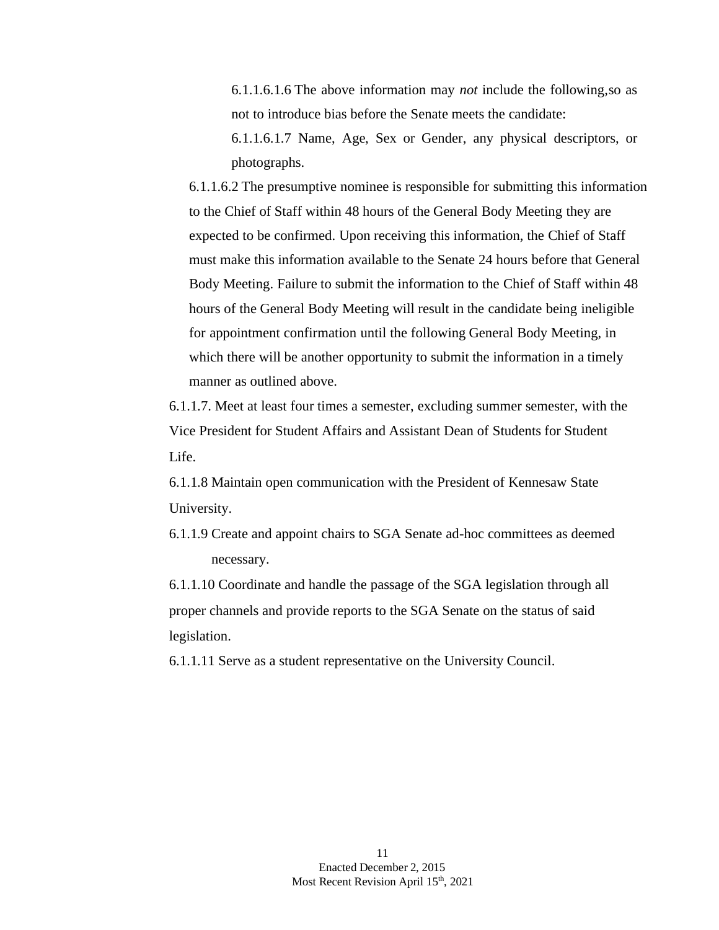6.1.1.6.1.6 The above information may *not* include the following,so as not to introduce bias before the Senate meets the candidate:

6.1.1.6.1.7 Name, Age, Sex or Gender, any physical descriptors, or photographs.

6.1.1.6.2 The presumptive nominee is responsible for submitting this information to the Chief of Staff within 48 hours of the General Body Meeting they are expected to be confirmed. Upon receiving this information, the Chief of Staff must make this information available to the Senate 24 hours before that General Body Meeting. Failure to submit the information to the Chief of Staff within 48 hours of the General Body Meeting will result in the candidate being ineligible for appointment confirmation until the following General Body Meeting, in which there will be another opportunity to submit the information in a timely manner as outlined above.

6.1.1.7. Meet at least four times a semester, excluding summer semester, with the Vice President for Student Affairs and Assistant Dean of Students for Student Life.

6.1.1.8 Maintain open communication with the President of Kennesaw State University.

6.1.1.9 Create and appoint chairs to SGA Senate ad-hoc committees as deemed necessary.

6.1.1.10 Coordinate and handle the passage of the SGA legislation through all proper channels and provide reports to the SGA Senate on the status of said legislation.

6.1.1.11 Serve as a student representative on the University Council.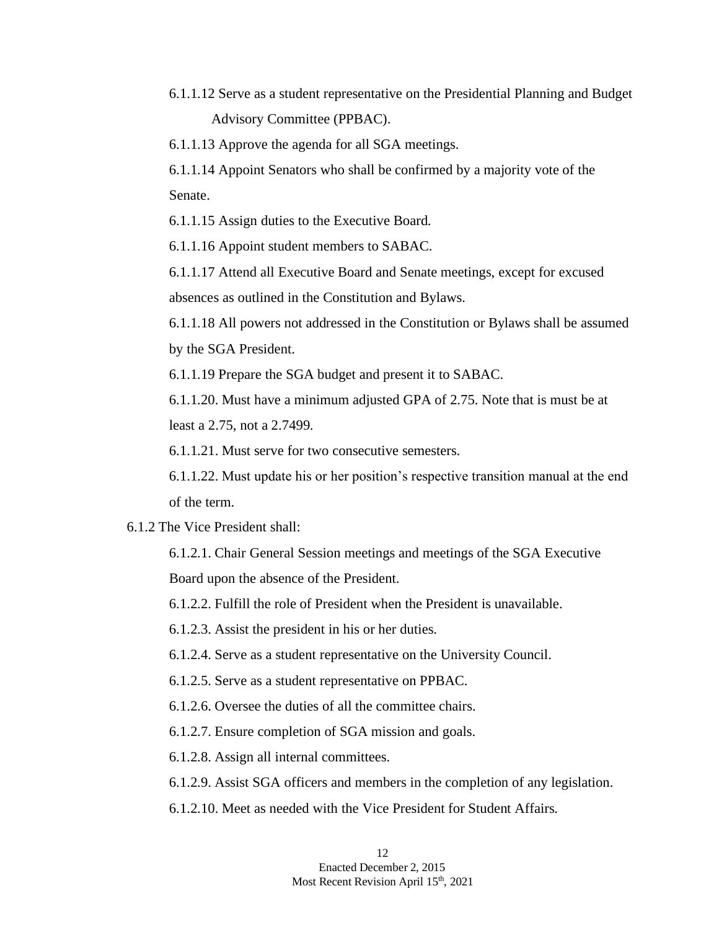6.1.1.12 Serve as a student representative on the Presidential Planning and Budget Advisory Committee (PPBAC).

6.1.1.13 Approve the agenda for all SGA meetings.

6.1.1.14 Appoint Senators who shall be confirmed by a majority vote of the Senate.

6.1.1.15 Assign duties to the Executive Board.

6.1.1.16 Appoint student members to SABAC.

6.1.1.17 Attend all Executive Board and Senate meetings, except for excused absences as outlined in the Constitution and Bylaws.

6.1.1.18 All powers not addressed in the Constitution or Bylaws shall be assumed by the SGA President.

6.1.1.19 Prepare the SGA budget and present it to SABAC.

6.1.1.20. Must have a minimum adjusted GPA of 2.75. Note that is must be at least a 2.75, not a 2.7499.

6.1.1.21. Must serve for two consecutive semesters.

6.1.1.22. Must update his or her position's respective transition manual at the end of the term.

### 6.1.2 The Vice President shall:

6.1.2.1. Chair General Session meetings and meetings of the SGA Executive Board upon the absence of the President.

6.1.2.2. Fulfill the role of President when the President is unavailable.

6.1.2.3. Assist the president in his or her duties.

6.1.2.4. Serve as a student representative on the University Council.

6.1.2.5. Serve as a student representative on PPBAC.

6.1.2.6. Oversee the duties of all the committee chairs.

6.1.2.7. Ensure completion of SGA mission and goals.

6.1.2.8. Assign all internal committees.

- 6.1.2.9. Assist SGA officers and members in the completion of any legislation.
- 6.1.2.10. Meet as needed with the Vice President for Student Affairs.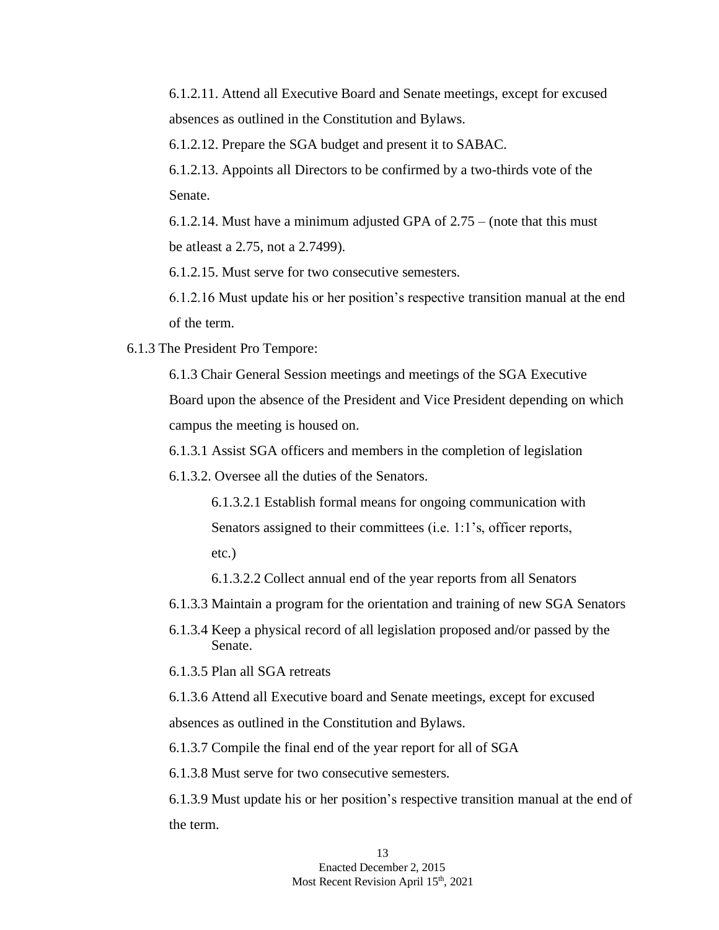6.1.2.11. Attend all Executive Board and Senate meetings, except for excused absences as outlined in the Constitution and Bylaws.

6.1.2.12. Prepare the SGA budget and present it to SABAC.

6.1.2.13. Appoints all Directors to be confirmed by a two-thirds vote of the Senate.

6.1.2.14. Must have a minimum adjusted GPA of 2.75 – (note that this must be atleast a 2.75, not a 2.7499).

6.1.2.15. Must serve for two consecutive semesters.

6.1.2.16 Must update his or her position's respective transition manual at the end of the term.

6.1.3 The President Pro Tempore:

6.1.3 Chair General Session meetings and meetings of the SGA Executive Board upon the absence of the President and Vice President depending on which campus the meeting is housed on.

6.1.3.1 Assist SGA officers and members in the completion of legislation

6.1.3.2. Oversee all the duties of the Senators.

6.1.3.2.1 Establish formal means for ongoing communication with Senators assigned to their committees (i.e. 1:1's, officer reports, etc.)

6.1.3.2.2 Collect annual end of the year reports from all Senators

6.1.3.3 Maintain a program for the orientation and training of new SGA Senators

6.1.3.4 Keep a physical record of all legislation proposed and/or passed by the Senate.

6.1.3.5 Plan all SGA retreats

6.1.3.6 Attend all Executive board and Senate meetings, except for excused absences as outlined in the Constitution and Bylaws.

6.1.3.7 Compile the final end of the year report for all of SGA

6.1.3.8 Must serve for two consecutive semesters.

6.1.3.9 Must update his or her position's respective transition manual at the end of the term.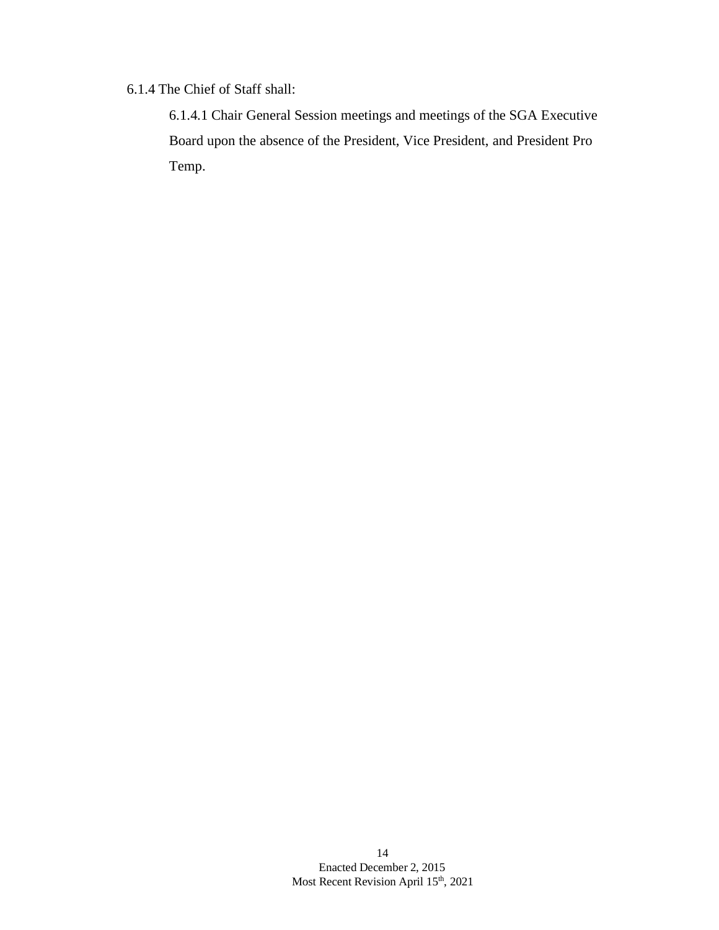## 6.1.4 The Chief of Staff shall:

6.1.4.1 Chair General Session meetings and meetings of the SGA Executive Board upon the absence of the President, Vice President, and President Pro Temp.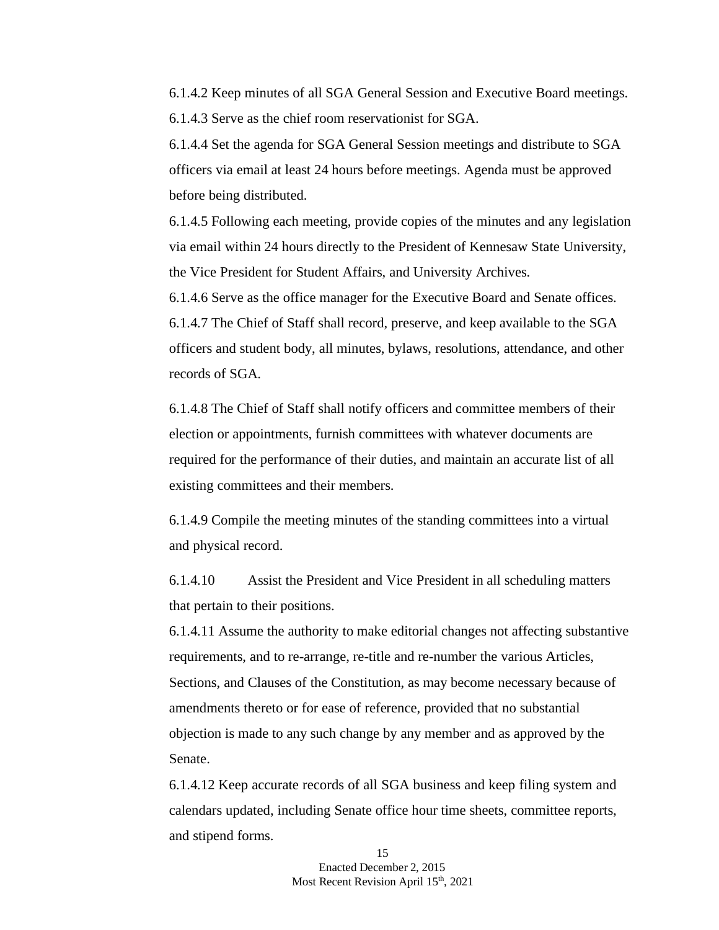6.1.4.2 Keep minutes of all SGA General Session and Executive Board meetings. 6.1.4.3 Serve as the chief room reservationist for SGA.

6.1.4.4 Set the agenda for SGA General Session meetings and distribute to SGA officers via email at least 24 hours before meetings. Agenda must be approved before being distributed.

6.1.4.5 Following each meeting, provide copies of the minutes and any legislation via email within 24 hours directly to the President of Kennesaw State University, the Vice President for Student Affairs, and University Archives.

6.1.4.6 Serve as the office manager for the Executive Board and Senate offices.

6.1.4.7 The Chief of Staff shall record, preserve, and keep available to the SGA officers and student body, all minutes, bylaws, resolutions, attendance, and other records of SGA.

6.1.4.8 The Chief of Staff shall notify officers and committee members of their election or appointments, furnish committees with whatever documents are required for the performance of their duties, and maintain an accurate list of all existing committees and their members.

6.1.4.9 Compile the meeting minutes of the standing committees into a virtual and physical record.

6.1.4.10 Assist the President and Vice President in all scheduling matters that pertain to their positions.

6.1.4.11 Assume the authority to make editorial changes not affecting substantive requirements, and to re-arrange, re-title and re-number the various Articles, Sections, and Clauses of the Constitution, as may become necessary because of amendments thereto or for ease of reference, provided that no substantial objection is made to any such change by any member and as approved by the Senate.

6.1.4.12 Keep accurate records of all SGA business and keep filing system and calendars updated, including Senate office hour time sheets, committee reports, and stipend forms.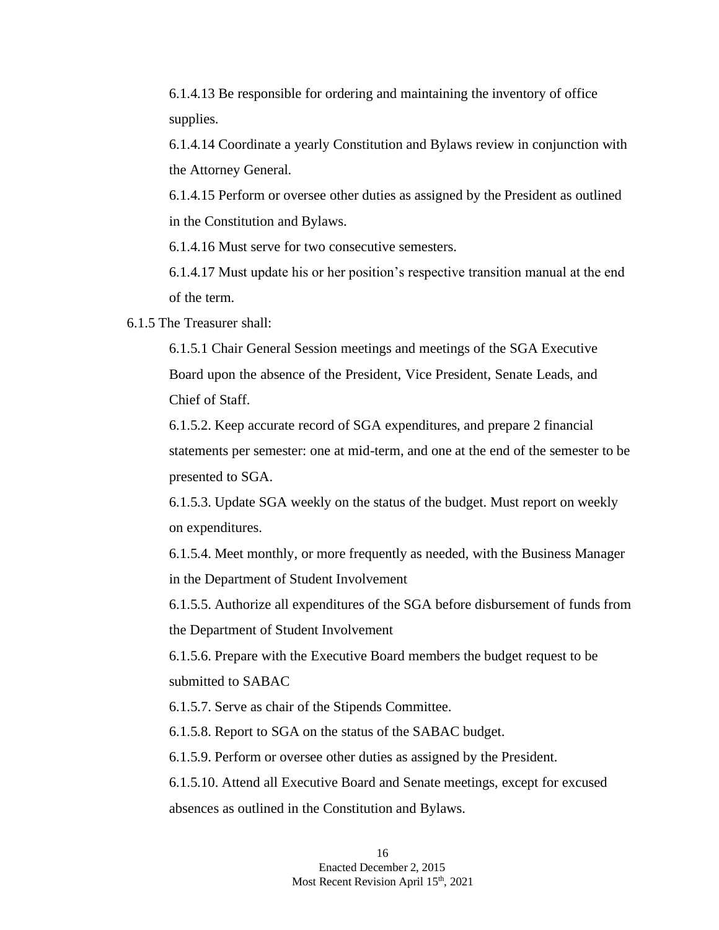6.1.4.13 Be responsible for ordering and maintaining the inventory of office supplies.

6.1.4.14 Coordinate a yearly Constitution and Bylaws review in conjunction with the Attorney General.

6.1.4.15 Perform or oversee other duties as assigned by the President as outlined in the Constitution and Bylaws.

6.1.4.16 Must serve for two consecutive semesters.

6.1.4.17 Must update his or her position's respective transition manual at the end of the term.

6.1.5 The Treasurer shall:

6.1.5.1 Chair General Session meetings and meetings of the SGA Executive Board upon the absence of the President, Vice President, Senate Leads, and Chief of Staff.

6.1.5.2. Keep accurate record of SGA expenditures, and prepare 2 financial statements per semester: one at mid-term, and one at the end of the semester to be presented to SGA.

6.1.5.3. Update SGA weekly on the status of the budget. Must report on weekly on expenditures.

6.1.5.4. Meet monthly, or more frequently as needed, with the Business Manager in the Department of Student Involvement

6.1.5.5. Authorize all expenditures of the SGA before disbursement of funds from the Department of Student Involvement

6.1.5.6. Prepare with the Executive Board members the budget request to be submitted to SABAC

6.1.5.7. Serve as chair of the Stipends Committee.

6.1.5.8. Report to SGA on the status of the SABAC budget.

6.1.5.9. Perform or oversee other duties as assigned by the President.

6.1.5.10. Attend all Executive Board and Senate meetings, except for excused absences as outlined in the Constitution and Bylaws.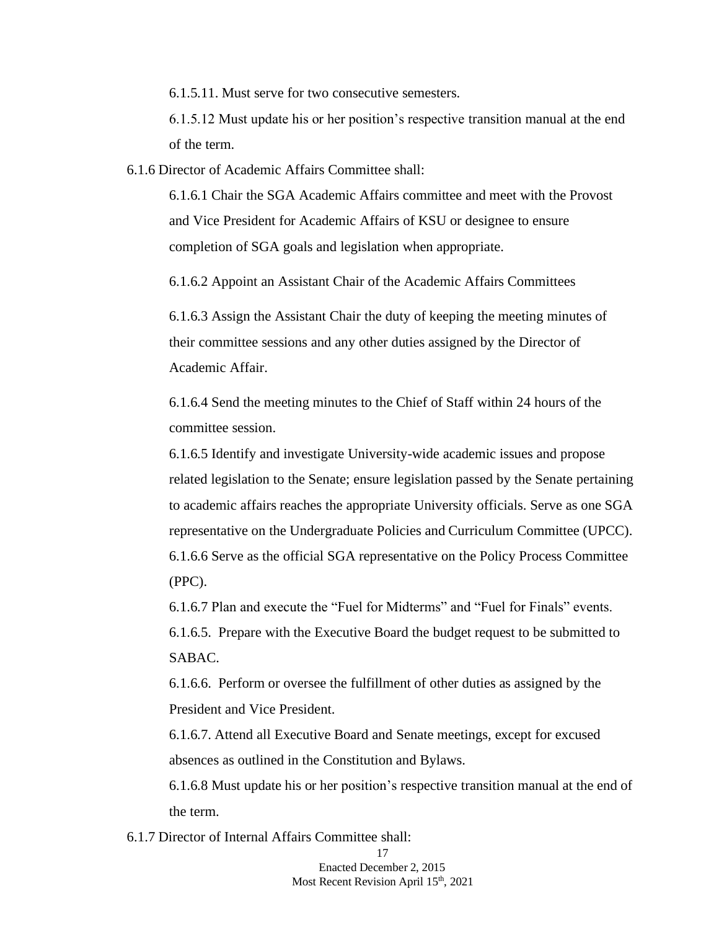6.1.5.11. Must serve for two consecutive semesters.

6.1.5.12 Must update his or her position's respective transition manual at the end of the term.

6.1.6 Director of Academic Affairs Committee shall:

6.1.6.1 Chair the SGA Academic Affairs committee and meet with the Provost and Vice President for Academic Affairs of KSU or designee to ensure completion of SGA goals and legislation when appropriate.

6.1.6.2 Appoint an Assistant Chair of the Academic Affairs Committees

6.1.6.3 Assign the Assistant Chair the duty of keeping the meeting minutes of their committee sessions and any other duties assigned by the Director of Academic Affair.

6.1.6.4 Send the meeting minutes to the Chief of Staff within 24 hours of the committee session.

6.1.6.5 Identify and investigate University-wide academic issues and propose related legislation to the Senate; ensure legislation passed by the Senate pertaining to academic affairs reaches the appropriate University officials. Serve as one SGA representative on the Undergraduate Policies and Curriculum Committee (UPCC). 6.1.6.6 Serve as the official SGA representative on the Policy Process Committee (PPC).

6.1.6.7 Plan and execute the "Fuel for Midterms" and "Fuel for Finals" events. 6.1.6.5. Prepare with the Executive Board the budget request to be submitted to

SABAC.

6.1.6.6. Perform or oversee the fulfillment of other duties as assigned by the President and Vice President.

6.1.6.7. Attend all Executive Board and Senate meetings, except for excused absences as outlined in the Constitution and Bylaws.

6.1.6.8 Must update his or her position's respective transition manual at the end of the term.

6.1.7 Director of Internal Affairs Committee shall:

17 Enacted December 2, 2015 Most Recent Revision April 15<sup>th</sup>, 2021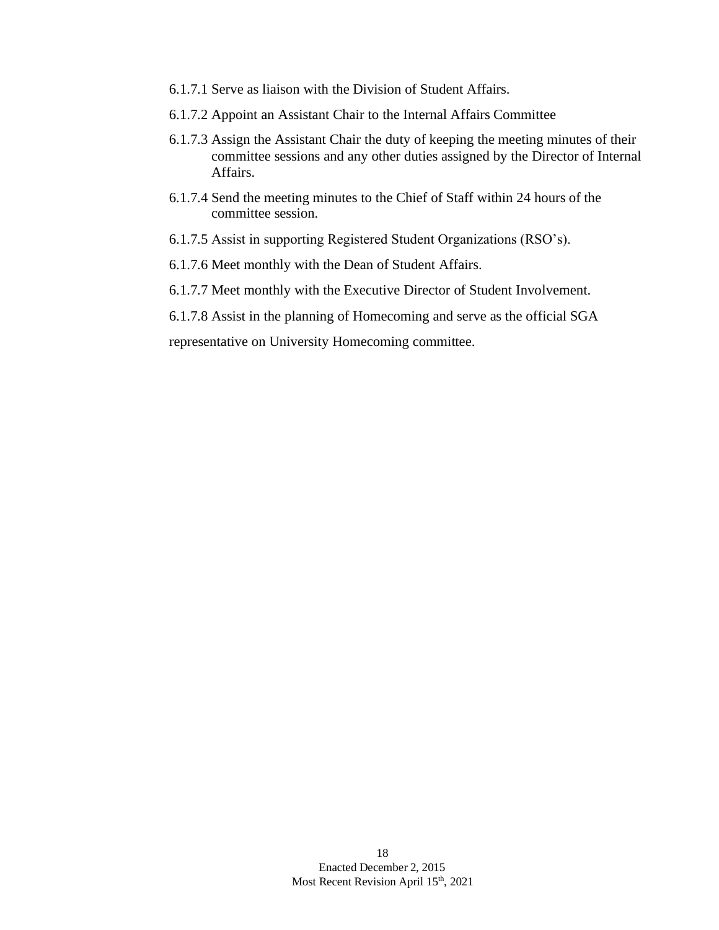- 6.1.7.1 Serve as liaison with the Division of Student Affairs.
- 6.1.7.2 Appoint an Assistant Chair to the Internal Affairs Committee
- 6.1.7.3 Assign the Assistant Chair the duty of keeping the meeting minutes of their committee sessions and any other duties assigned by the Director of Internal Affairs.
- 6.1.7.4 Send the meeting minutes to the Chief of Staff within 24 hours of the committee session.
- 6.1.7.5 Assist in supporting Registered Student Organizations (RSO's).
- 6.1.7.6 Meet monthly with the Dean of Student Affairs.
- 6.1.7.7 Meet monthly with the Executive Director of Student Involvement.
- 6.1.7.8 Assist in the planning of Homecoming and serve as the official SGA

representative on University Homecoming committee.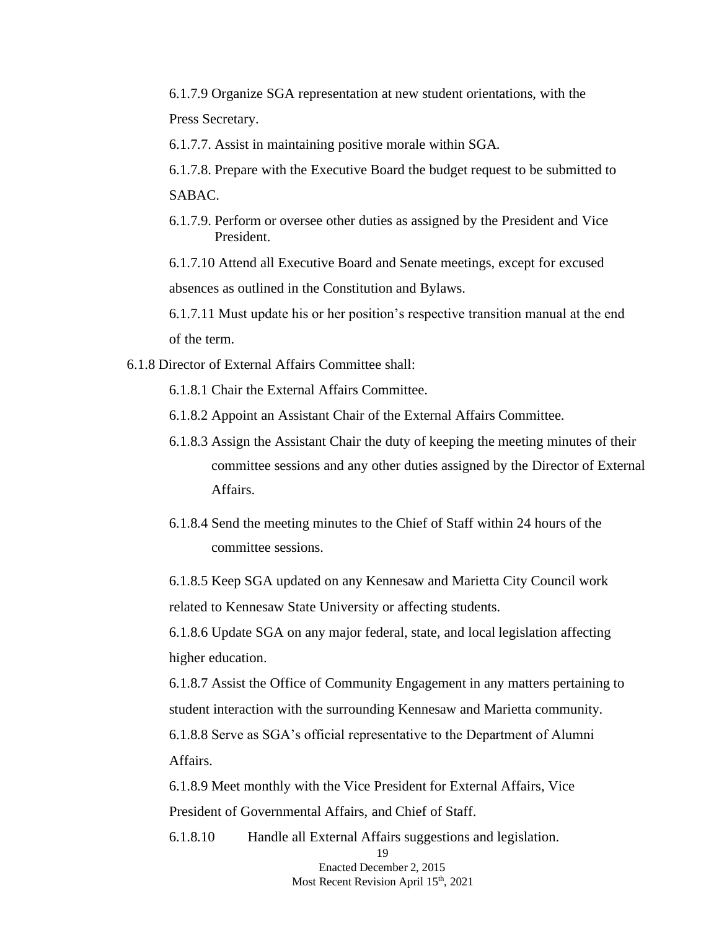6.1.7.9 Organize SGA representation at new student orientations, with the Press Secretary.

6.1.7.7. Assist in maintaining positive morale within SGA.

- 6.1.7.8. Prepare with the Executive Board the budget request to be submitted to SABAC.
- 6.1.7.9. Perform or oversee other duties as assigned by the President and Vice President.

6.1.7.10 Attend all Executive Board and Senate meetings, except for excused absences as outlined in the Constitution and Bylaws.

6.1.7.11 Must update his or her position's respective transition manual at the end of the term.

6.1.8 Director of External Affairs Committee shall:

6.1.8.1 Chair the External Affairs Committee.

6.1.8.2 Appoint an Assistant Chair of the External Affairs Committee.

- 6.1.8.3 Assign the Assistant Chair the duty of keeping the meeting minutes of their committee sessions and any other duties assigned by the Director of External Affairs.
- 6.1.8.4 Send the meeting minutes to the Chief of Staff within 24 hours of the committee sessions.

6.1.8.5 Keep SGA updated on any Kennesaw and Marietta City Council work related to Kennesaw State University or affecting students.

6.1.8.6 Update SGA on any major federal, state, and local legislation affecting higher education.

6.1.8.7 Assist the Office of Community Engagement in any matters pertaining to student interaction with the surrounding Kennesaw and Marietta community.

6.1.8.8 Serve as SGA's official representative to the Department of Alumni Affairs.

6.1.8.9 Meet monthly with the Vice President for External Affairs, Vice President of Governmental Affairs, and Chief of Staff.

6.1.8.10 Handle all External Affairs suggestions and legislation.

19 Enacted December 2, 2015 Most Recent Revision April 15<sup>th</sup>, 2021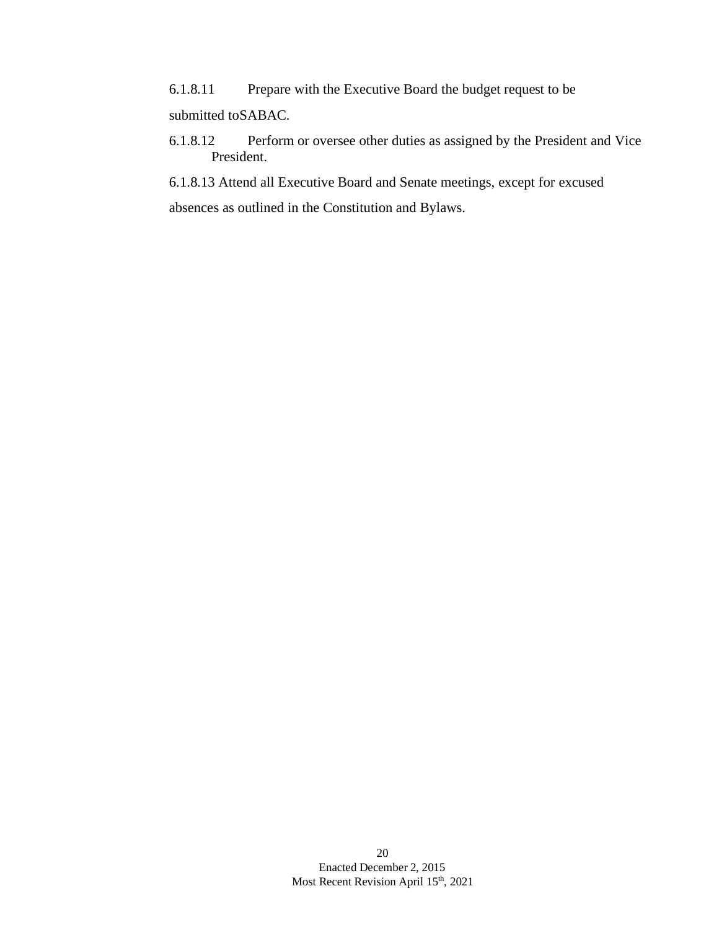6.1.8.11 Prepare with the Executive Board the budget request to be submitted toSABAC.

6.1.8.12 Perform or oversee other duties as assigned by the President and Vice President.

6.1.8.13 Attend all Executive Board and Senate meetings, except for excused absences as outlined in the Constitution and Bylaws.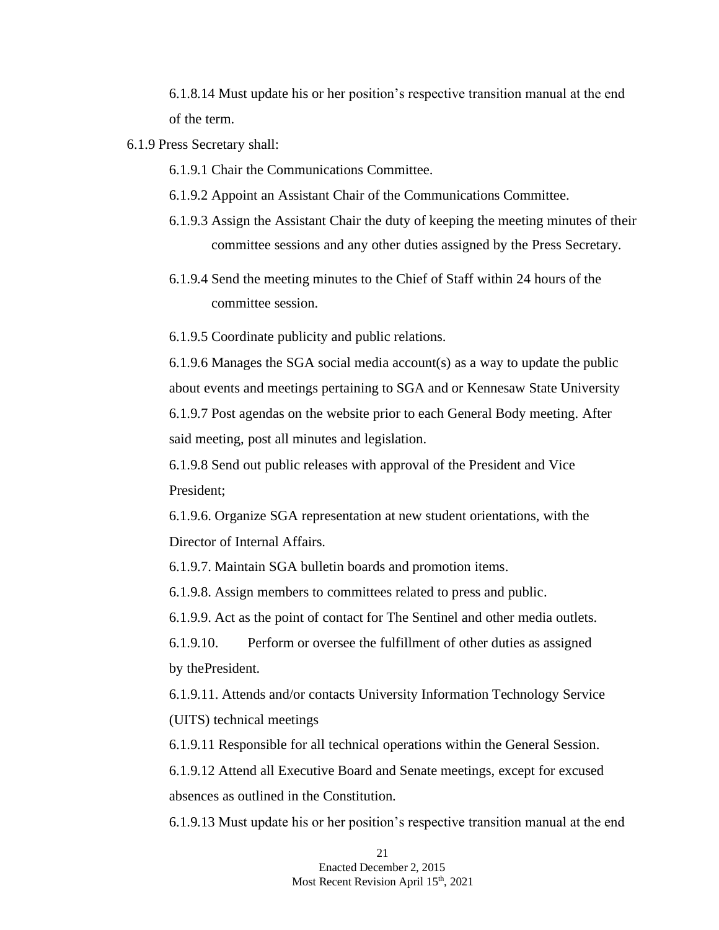6.1.8.14 Must update his or her position's respective transition manual at the end of the term.

6.1.9 Press Secretary shall:

6.1.9.1 Chair the Communications Committee.

6.1.9.2 Appoint an Assistant Chair of the Communications Committee.

- 6.1.9.3 Assign the Assistant Chair the duty of keeping the meeting minutes of their committee sessions and any other duties assigned by the Press Secretary.
- 6.1.9.4 Send the meeting minutes to the Chief of Staff within 24 hours of the committee session.

6.1.9.5 Coordinate publicity and public relations.

6.1.9.6 Manages the SGA social media account(s) as a way to update the public about events and meetings pertaining to SGA and or Kennesaw State University 6.1.9.7 Post agendas on the website prior to each General Body meeting. After said meeting, post all minutes and legislation.

6.1.9.8 Send out public releases with approval of the President and Vice President;

6.1.9.6. Organize SGA representation at new student orientations, with the Director of Internal Affairs.

6.1.9.7. Maintain SGA bulletin boards and promotion items.

6.1.9.8. Assign members to committees related to press and public.

6.1.9.9. Act as the point of contact for The Sentinel and other media outlets.

6.1.9.10. Perform or oversee the fulfillment of other duties as assigned by thePresident.

6.1.9.11. Attends and/or contacts University Information Technology Service (UITS) technical meetings

6.1.9.11 Responsible for all technical operations within the General Session.

6.1.9.12 Attend all Executive Board and Senate meetings, except for excused absences as outlined in the Constitution.

6.1.9.13 Must update his or her position's respective transition manual at the end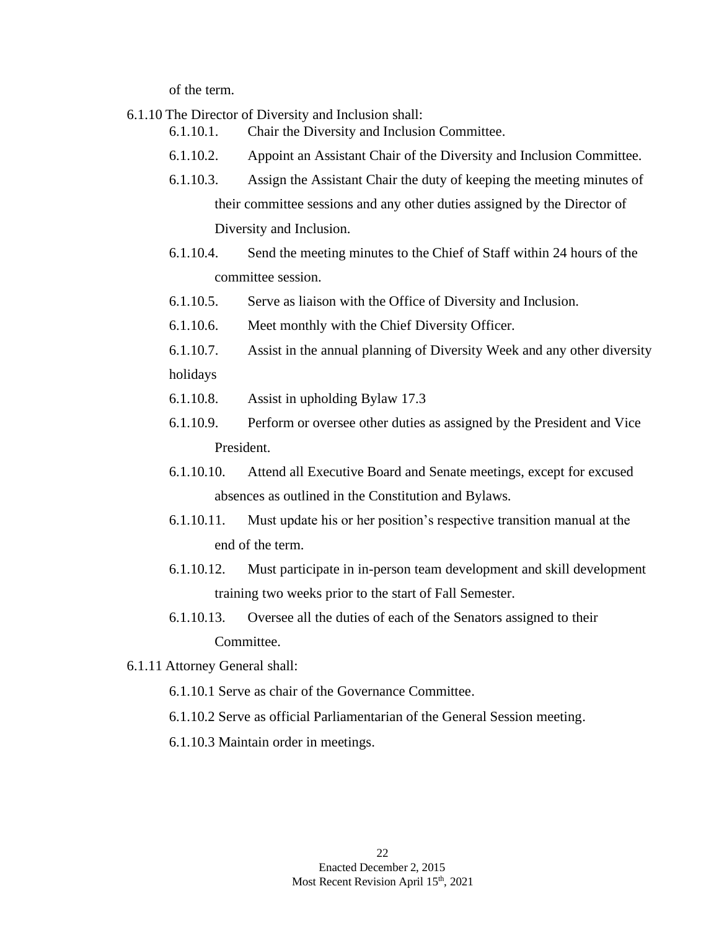of the term.

6.1.10 The Director of Diversity and Inclusion shall:

- 6.1.10.1. Chair the Diversity and Inclusion Committee.
- 6.1.10.2. Appoint an Assistant Chair of the Diversity and Inclusion Committee.
- 6.1.10.3. Assign the Assistant Chair the duty of keeping the meeting minutes of their committee sessions and any other duties assigned by the Director of Diversity and Inclusion.
- 6.1.10.4. Send the meeting minutes to the Chief of Staff within 24 hours of the committee session.
- 6.1.10.5. Serve as liaison with the Office of Diversity and Inclusion.
- 6.1.10.6. Meet monthly with the Chief Diversity Officer.
- 6.1.10.7. Assist in the annual planning of Diversity Week and any other diversity holidays
- 6.1.10.8. Assist in upholding Bylaw 17.3
- 6.1.10.9. Perform or oversee other duties as assigned by the President and Vice President.
- 6.1.10.10. Attend all Executive Board and Senate meetings, except for excused absences as outlined in the Constitution and Bylaws.
- 6.1.10.11. Must update his or her position's respective transition manual at the end of the term.
- 6.1.10.12. Must participate in in-person team development and skill development training two weeks prior to the start of Fall Semester.
- 6.1.10.13. Oversee all the duties of each of the Senators assigned to their Committee.
- 6.1.11 Attorney General shall:
	- 6.1.10.1 Serve as chair of the Governance Committee.
	- 6.1.10.2 Serve as official Parliamentarian of the General Session meeting.
	- 6.1.10.3 Maintain order in meetings.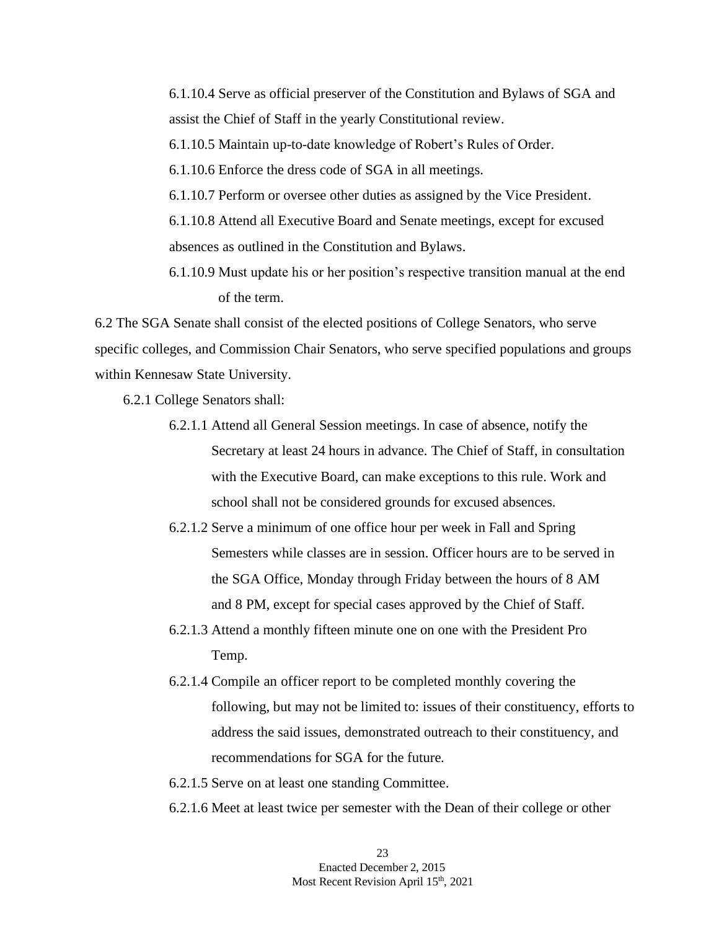6.1.10.4 Serve as official preserver of the Constitution and Bylaws of SGA and assist the Chief of Staff in the yearly Constitutional review.

6.1.10.5 Maintain up-to-date knowledge of Robert's Rules of Order.

6.1.10.6 Enforce the dress code of SGA in all meetings.

6.1.10.7 Perform or oversee other duties as assigned by the Vice President.

6.1.10.8 Attend all Executive Board and Senate meetings, except for excused absences as outlined in the Constitution and Bylaws.

6.1.10.9 Must update his or her position's respective transition manual at the end of the term.

6.2 The SGA Senate shall consist of the elected positions of College Senators, who serve specific colleges, and Commission Chair Senators, who serve specified populations and groups within Kennesaw State University.

6.2.1 College Senators shall:

- 6.2.1.1 Attend all General Session meetings. In case of absence, notify the Secretary at least 24 hours in advance. The Chief of Staff, in consultation with the Executive Board, can make exceptions to this rule. Work and school shall not be considered grounds for excused absences.
- 6.2.1.2 Serve a minimum of one office hour per week in Fall and Spring Semesters while classes are in session. Officer hours are to be served in the SGA Office, Monday through Friday between the hours of 8 AM and 8 PM, except for special cases approved by the Chief of Staff.
- 6.2.1.3 Attend a monthly fifteen minute one on one with the President Pro Temp.
- 6.2.1.4 Compile an officer report to be completed monthly covering the following, but may not be limited to: issues of their constituency, efforts to address the said issues, demonstrated outreach to their constituency, and recommendations for SGA for the future.
- 6.2.1.5 Serve on at least one standing Committee.
- 6.2.1.6 Meet at least twice per semester with the Dean of their college or other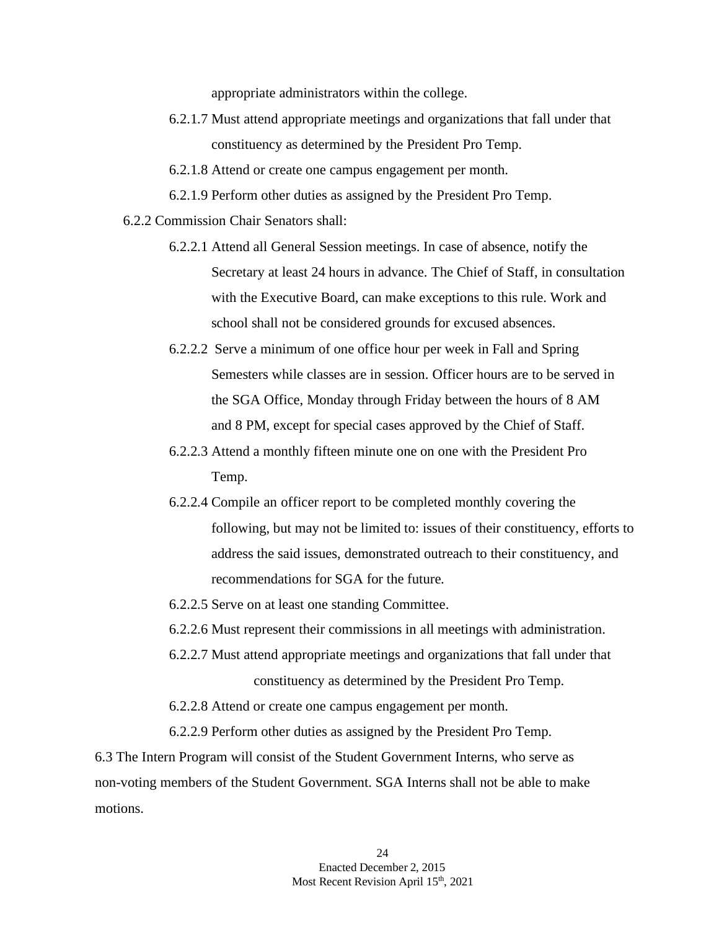appropriate administrators within the college.

- 6.2.1.7 Must attend appropriate meetings and organizations that fall under that constituency as determined by the President Pro Temp.
- 6.2.1.8 Attend or create one campus engagement per month.
- 6.2.1.9 Perform other duties as assigned by the President Pro Temp.
- 6.2.2 Commission Chair Senators shall:
	- 6.2.2.1 Attend all General Session meetings. In case of absence, notify the Secretary at least 24 hours in advance. The Chief of Staff, in consultation with the Executive Board, can make exceptions to this rule. Work and school shall not be considered grounds for excused absences.
	- 6.2.2.2 Serve a minimum of one office hour per week in Fall and Spring Semesters while classes are in session. Officer hours are to be served in the SGA Office, Monday through Friday between the hours of 8 AM and 8 PM, except for special cases approved by the Chief of Staff.
	- 6.2.2.3 Attend a monthly fifteen minute one on one with the President Pro Temp.
	- 6.2.2.4 Compile an officer report to be completed monthly covering the following, but may not be limited to: issues of their constituency, efforts to address the said issues, demonstrated outreach to their constituency, and recommendations for SGA for the future.
	- 6.2.2.5 Serve on at least one standing Committee.
	- 6.2.2.6 Must represent their commissions in all meetings with administration.
	- 6.2.2.7 Must attend appropriate meetings and organizations that fall under that constituency as determined by the President Pro Temp.
	- 6.2.2.8 Attend or create one campus engagement per month.
	- 6.2.2.9 Perform other duties as assigned by the President Pro Temp.

6.3 The Intern Program will consist of the Student Government Interns, who serve as non-voting members of the Student Government. SGA Interns shall not be able to make motions.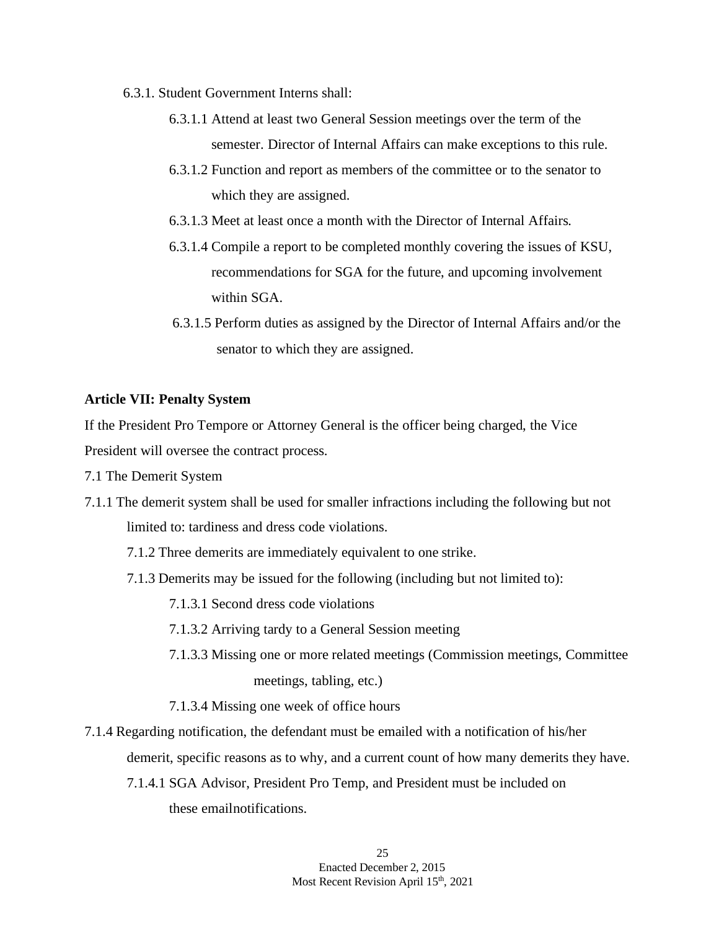- 6.3.1. Student Government Interns shall:
	- 6.3.1.1 Attend at least two General Session meetings over the term of the semester. Director of Internal Affairs can make exceptions to this rule.
	- 6.3.1.2 Function and report as members of the committee or to the senator to which they are assigned.
	- 6.3.1.3 Meet at least once a month with the Director of Internal Affairs.
	- 6.3.1.4 Compile a report to be completed monthly covering the issues of KSU, recommendations for SGA for the future, and upcoming involvement within SGA.
	- 6.3.1.5 Perform duties as assigned by the Director of Internal Affairs and/or the senator to which they are assigned.

### **Article VII: Penalty System**

If the President Pro Tempore or Attorney General is the officer being charged, the Vice President will oversee the contract process.

- 7.1 The Demerit System
- 7.1.1 The demerit system shall be used for smaller infractions including the following but not limited to: tardiness and dress code violations.
	- 7.1.2 Three demerits are immediately equivalent to one strike.
	- 7.1.3 Demerits may be issued for the following (including but not limited to):
		- 7.1.3.1 Second dress code violations
		- 7.1.3.2 Arriving tardy to a General Session meeting
		- 7.1.3.3 Missing one or more related meetings (Commission meetings, Committee meetings, tabling, etc.)
		- 7.1.3.4 Missing one week of office hours
- 7.1.4 Regarding notification, the defendant must be emailed with a notification of his/her demerit, specific reasons as to why, and a current count of how many demerits they have.
	- 7.1.4.1 SGA Advisor, President Pro Temp, and President must be included on these emailnotifications.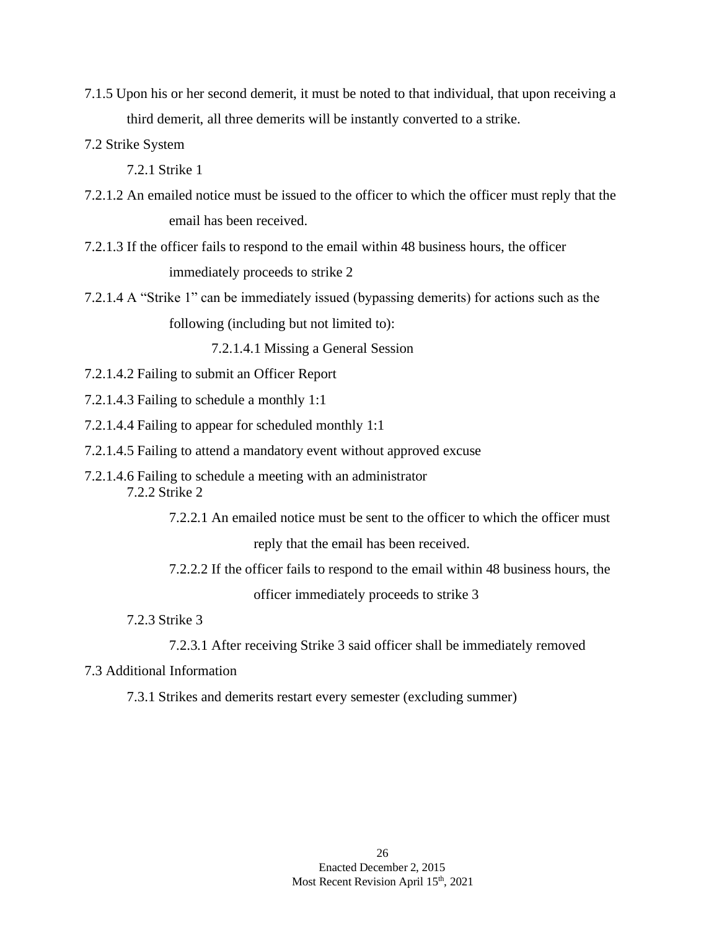- 7.1.5 Upon his or her second demerit, it must be noted to that individual, that upon receiving a third demerit, all three demerits will be instantly converted to a strike.
- 7.2 Strike System
	- 7.2.1 Strike 1
- 7.2.1.2 An emailed notice must be issued to the officer to which the officer must reply that the email has been received.
- 7.2.1.3 If the officer fails to respond to the email within 48 business hours, the officer immediately proceeds to strike 2
- 7.2.1.4 A "Strike 1" can be immediately issued (bypassing demerits) for actions such as the following (including but not limited to):

7.2.1.4.1 Missing a General Session

- 7.2.1.4.2 Failing to submit an Officer Report
- 7.2.1.4.3 Failing to schedule a monthly 1:1
- 7.2.1.4.4 Failing to appear for scheduled monthly 1:1
- 7.2.1.4.5 Failing to attend a mandatory event without approved excuse
- 7.2.1.4.6 Failing to schedule a meeting with an administrator 7.2.2 Strike 2
	- 7.2.2.1 An emailed notice must be sent to the officer to which the officer must

reply that the email has been received.

- 7.2.2.2 If the officer fails to respond to the email within 48 business hours, the officer immediately proceeds to strike 3
- 7.2.3 Strike 3
	- 7.2.3.1 After receiving Strike 3 said officer shall be immediately removed
- 7.3 Additional Information

7.3.1 Strikes and demerits restart every semester (excluding summer)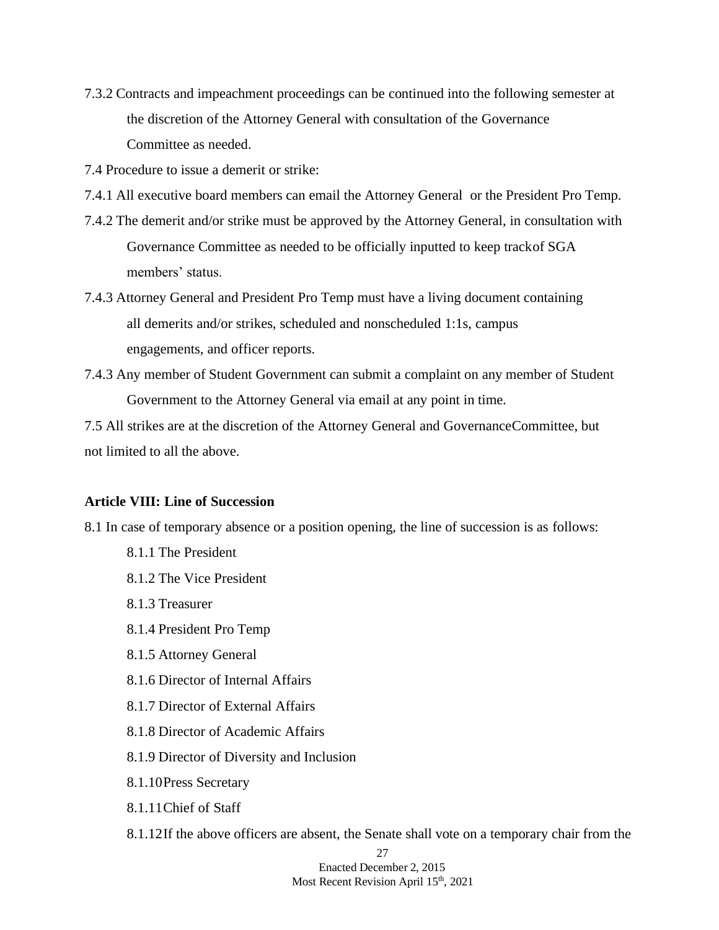7.3.2 Contracts and impeachment proceedings can be continued into the following semester at the discretion of the Attorney General with consultation of the Governance Committee as needed.

7.4 Procedure to issue a demerit or strike:

- 7.4.1 All executive board members can email the Attorney General or the President Pro Temp.
- 7.4.2 The demerit and/or strike must be approved by the Attorney General, in consultation with Governance Committee as needed to be officially inputted to keep trackof SGA members' status.
- 7.4.3 Attorney General and President Pro Temp must have a living document containing all demerits and/or strikes, scheduled and nonscheduled 1:1s, campus engagements, and officer reports.
- 7.4.3 Any member of Student Government can submit a complaint on any member of Student Government to the Attorney General via email at any point in time.

7.5 All strikes are at the discretion of the Attorney General and GovernanceCommittee, but not limited to all the above.

### **Article VIII: Line of Succession**

8.1 In case of temporary absence or a position opening, the line of succession is as follows:

- 8.1.1 The President
- 8.1.2 The Vice President
- 8.1.3 Treasurer
- 8.1.4 President Pro Temp
- 8.1.5 Attorney General
- 8.1.6 Director of Internal Affairs
- 8.1.7 Director of External Affairs
- 8.1.8 Director of Academic Affairs
- 8.1.9 Director of Diversity and Inclusion
- 8.1.10Press Secretary
- 8.1.11Chief of Staff
- 8.1.12If the above officers are absent, the Senate shall vote on a temporary chair from the

27 Enacted December 2, 2015 Most Recent Revision April 15<sup>th</sup>, 2021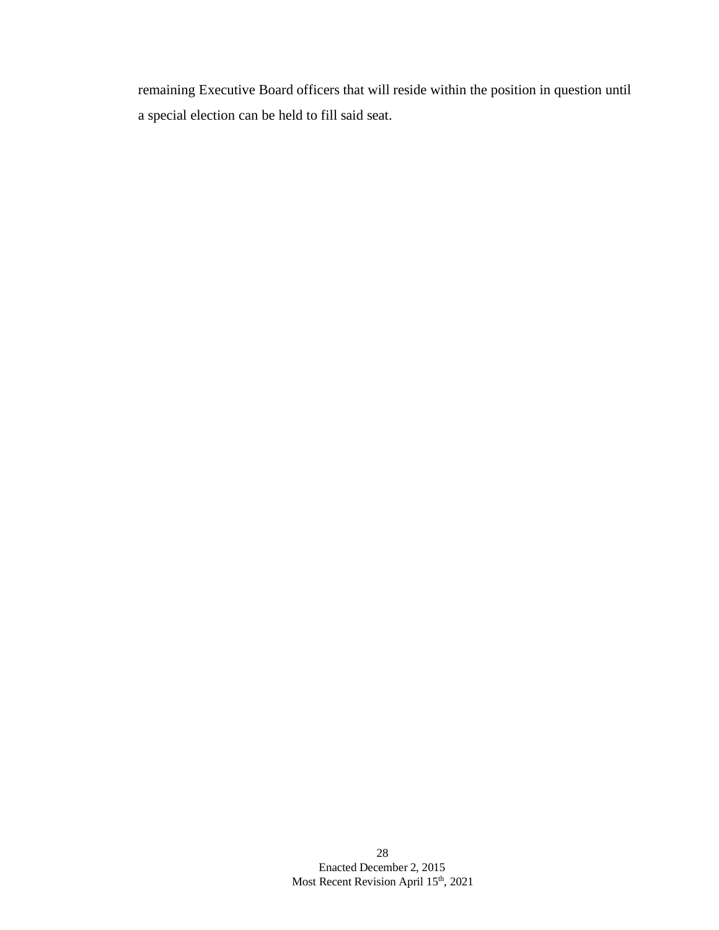remaining Executive Board officers that will reside within the position in question until a special election can be held to fill said seat.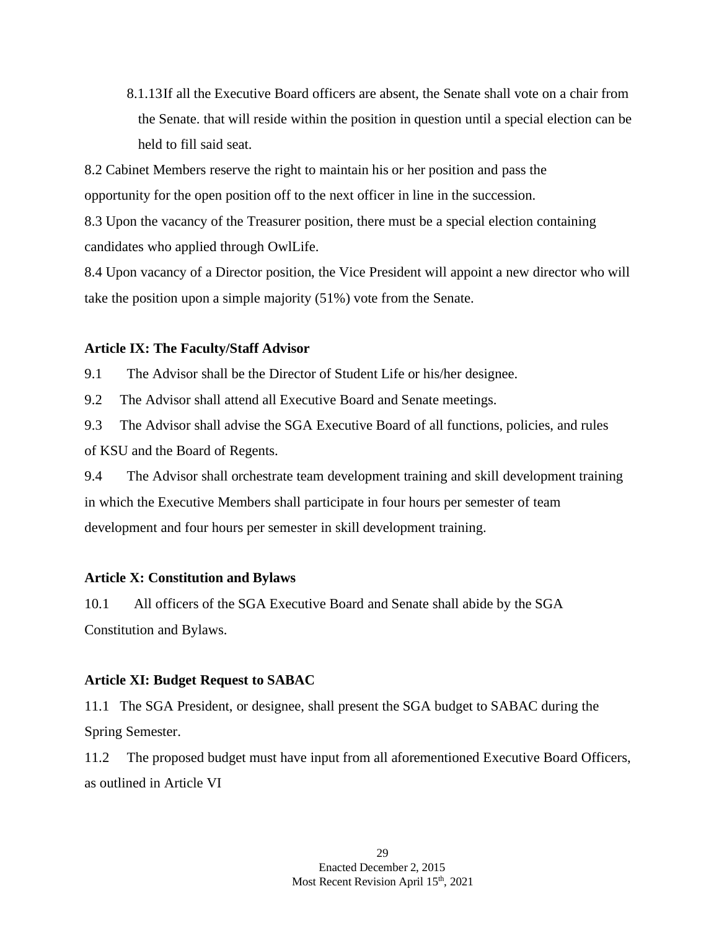8.1.13If all the Executive Board officers are absent, the Senate shall vote on a chair from the Senate. that will reside within the position in question until a special election can be held to fill said seat.

8.2 Cabinet Members reserve the right to maintain his or her position and pass the opportunity for the open position off to the next officer in line in the succession.

8.3 Upon the vacancy of the Treasurer position, there must be a special election containing candidates who applied through OwlLife.

8.4 Upon vacancy of a Director position, the Vice President will appoint a new director who will take the position upon a simple majority (51%) vote from the Senate.

### **Article IX: The Faculty/Staff Advisor**

9.1 The Advisor shall be the Director of Student Life or his/her designee.

9.2 The Advisor shall attend all Executive Board and Senate meetings.

9.3 The Advisor shall advise the SGA Executive Board of all functions, policies, and rules of KSU and the Board of Regents.

9.4 The Advisor shall orchestrate team development training and skill development training in which the Executive Members shall participate in four hours per semester of team development and four hours per semester in skill development training.

### **Article X: Constitution and Bylaws**

10.1 All officers of the SGA Executive Board and Senate shall abide by the SGA Constitution and Bylaws.

### **Article XI: Budget Request to SABAC**

11.1 The SGA President, or designee, shall present the SGA budget to SABAC during the Spring Semester.

11.2 The proposed budget must have input from all aforementioned Executive Board Officers, as outlined in Article VI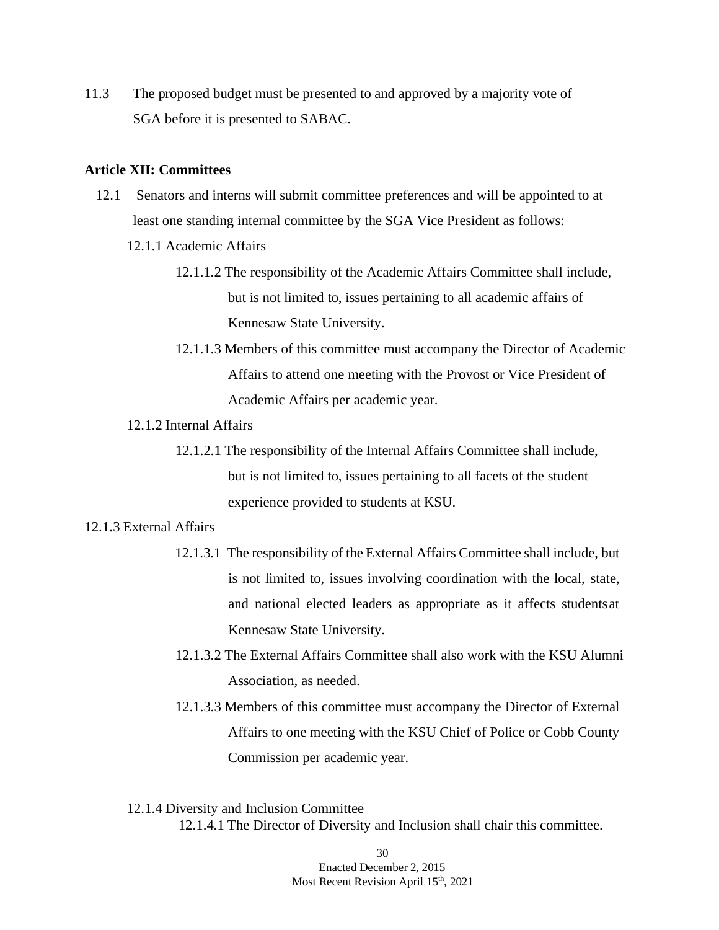11.3 The proposed budget must be presented to and approved by a majority vote of SGA before it is presented to SABAC.

### **Article XII: Committees**

- 12.1 Senators and interns will submit committee preferences and will be appointed to at least one standing internal committee by the SGA Vice President as follows:
	- 12.1.1 Academic Affairs
		- 12.1.1.2 The responsibility of the Academic Affairs Committee shall include, but is not limited to, issues pertaining to all academic affairs of Kennesaw State University.
		- 12.1.1.3 Members of this committee must accompany the Director of Academic Affairs to attend one meeting with the Provost or Vice President of Academic Affairs per academic year.

### 12.1.2 Internal Affairs

12.1.2.1 The responsibility of the Internal Affairs Committee shall include, but is not limited to, issues pertaining to all facets of the student experience provided to students at KSU.

### 12.1.3 External Affairs

- 12.1.3.1 The responsibility of the External Affairs Committee shall include, but is not limited to, issues involving coordination with the local, state, and national elected leaders as appropriate as it affects studentsat Kennesaw State University.
- 12.1.3.2 The External Affairs Committee shall also work with the KSU Alumni Association, as needed.
- 12.1.3.3 Members of this committee must accompany the Director of External Affairs to one meeting with the KSU Chief of Police or Cobb County Commission per academic year.
- 12.1.4 Diversity and Inclusion Committee 12.1.4.1 The Director of Diversity and Inclusion shall chair this committee.

30 Enacted December 2, 2015 Most Recent Revision April 15<sup>th</sup>, 2021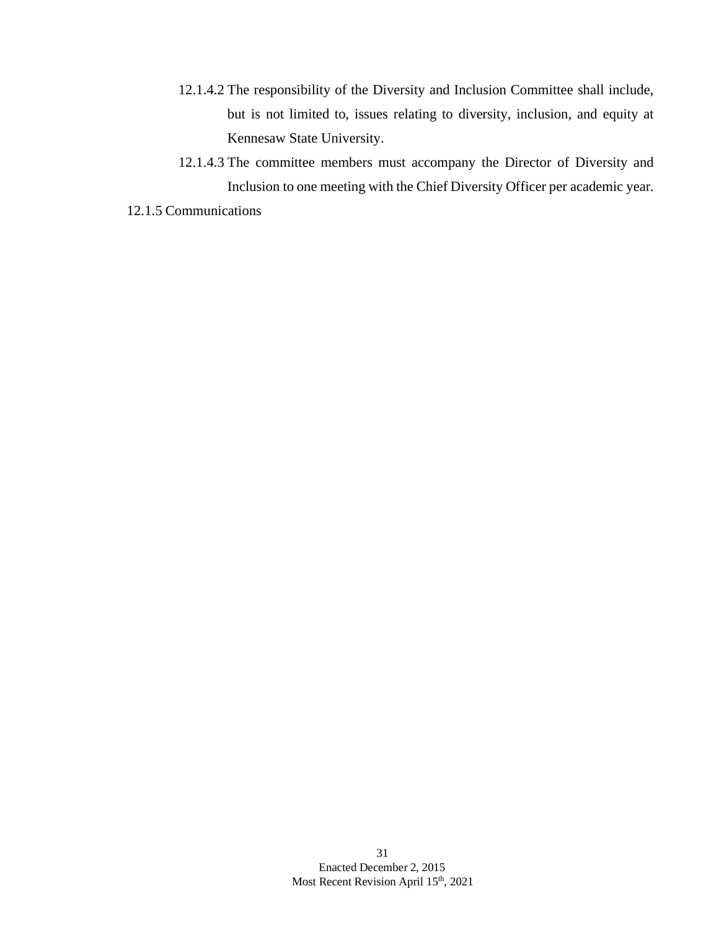- 12.1.4.2 The responsibility of the Diversity and Inclusion Committee shall include, but is not limited to, issues relating to diversity, inclusion, and equity at Kennesaw State University.
- 12.1.4.3 The committee members must accompany the Director of Diversity and Inclusion to one meeting with the Chief Diversity Officer per academic year.
- 12.1.5 Communications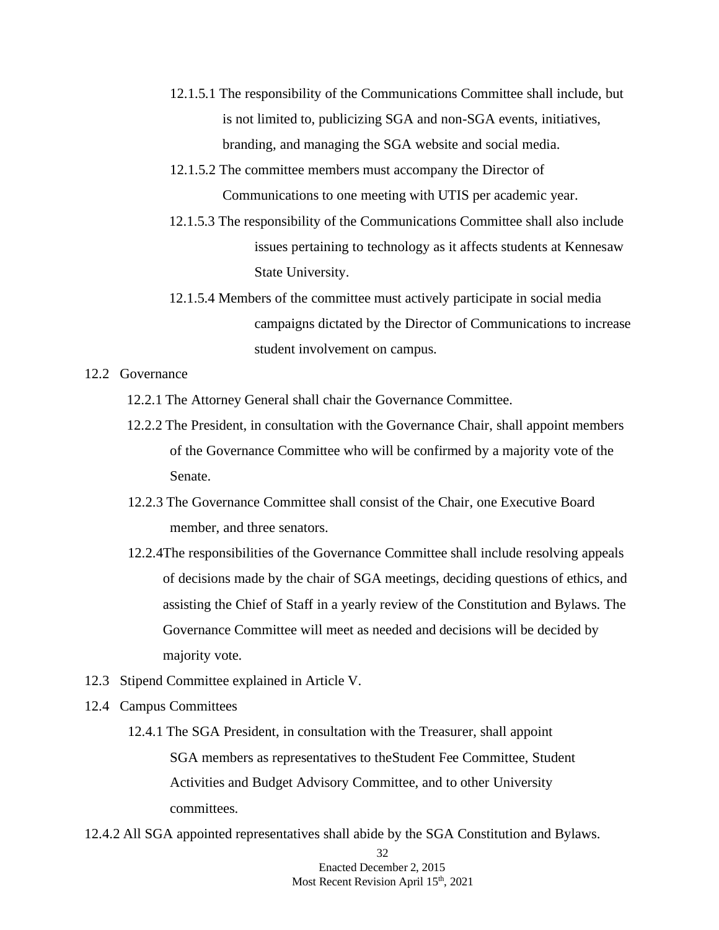- 12.1.5.1 The responsibility of the Communications Committee shall include, but is not limited to, publicizing SGA and non-SGA events, initiatives, branding, and managing the SGA website and social media.
- 12.1.5.2 The committee members must accompany the Director of Communications to one meeting with UTIS per academic year.
- 12.1.5.3 The responsibility of the Communications Committee shall also include issues pertaining to technology as it affects students at Kennesaw State University.
- 12.1.5.4 Members of the committee must actively participate in social media campaigns dictated by the Director of Communications to increase student involvement on campus.

12.2 Governance

- 12.2.1 The Attorney General shall chair the Governance Committee.
- 12.2.2 The President, in consultation with the Governance Chair, shall appoint members of the Governance Committee who will be confirmed by a majority vote of the Senate.
- 12.2.3 The Governance Committee shall consist of the Chair, one Executive Board member, and three senators.
- 12.2.4The responsibilities of the Governance Committee shall include resolving appeals of decisions made by the chair of SGA meetings, deciding questions of ethics, and assisting the Chief of Staff in a yearly review of the Constitution and Bylaws. The Governance Committee will meet as needed and decisions will be decided by majority vote.
- 12.3 Stipend Committee explained in Article V.
- 12.4 Campus Committees
	- 12.4.1 The SGA President, in consultation with the Treasurer, shall appoint SGA members as representatives to theStudent Fee Committee, Student Activities and Budget Advisory Committee, and to other University committees.
- 12.4.2 All SGA appointed representatives shall abide by the SGA Constitution and Bylaws.

32 Enacted December 2, 2015 Most Recent Revision April 15<sup>th</sup>, 2021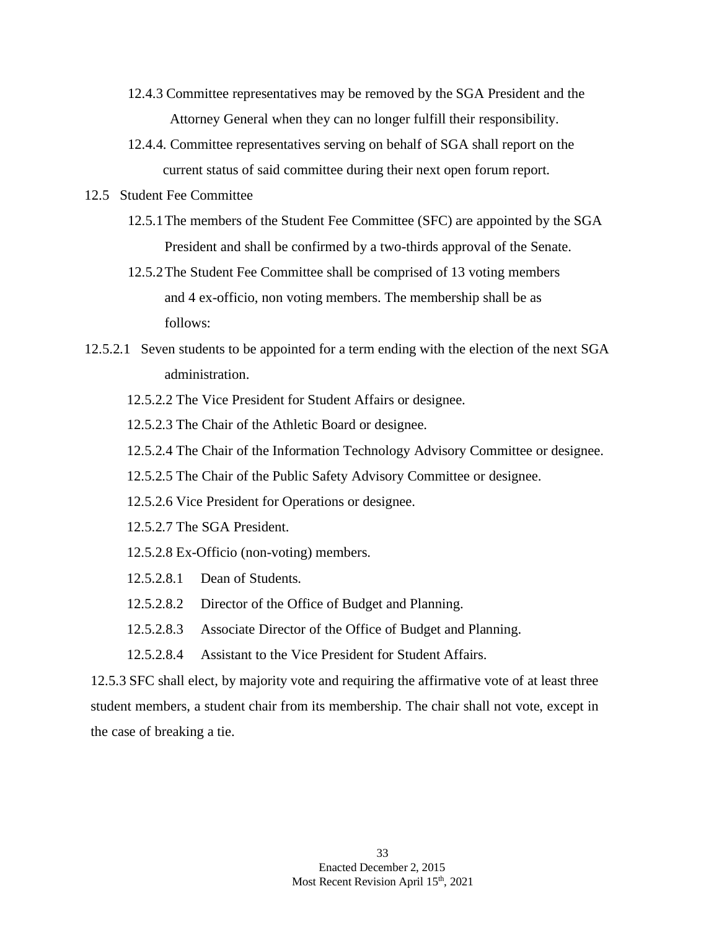- 12.4.3 Committee representatives may be removed by the SGA President and the Attorney General when they can no longer fulfill their responsibility.
- 12.4.4. Committee representatives serving on behalf of SGA shall report on the current status of said committee during their next open forum report.
- 12.5 Student Fee Committee
	- 12.5.1The members of the Student Fee Committee (SFC) are appointed by the SGA President and shall be confirmed by a two-thirds approval of the Senate.
	- 12.5.2The Student Fee Committee shall be comprised of 13 voting members and 4 ex-officio, non voting members. The membership shall be as follows:
- 12.5.2.1 Seven students to be appointed for a term ending with the election of the next SGA administration.
	- 12.5.2.2 The Vice President for Student Affairs or designee.

12.5.2.3 The Chair of the Athletic Board or designee.

- 12.5.2.4 The Chair of the Information Technology Advisory Committee or designee.
- 12.5.2.5 The Chair of the Public Safety Advisory Committee or designee.
- 12.5.2.6 Vice President for Operations or designee.
- 12.5.2.7 The SGA President.
- 12.5.2.8 Ex-Officio (non-voting) members.
- 12.5.2.8.1 Dean of Students.
- 12.5.2.8.2 Director of the Office of Budget and Planning.
- 12.5.2.8.3 Associate Director of the Office of Budget and Planning.
- 12.5.2.8.4 Assistant to the Vice President for Student Affairs.

12.5.3 SFC shall elect, by majority vote and requiring the affirmative vote of at least three student members, a student chair from its membership. The chair shall not vote, except in the case of breaking a tie.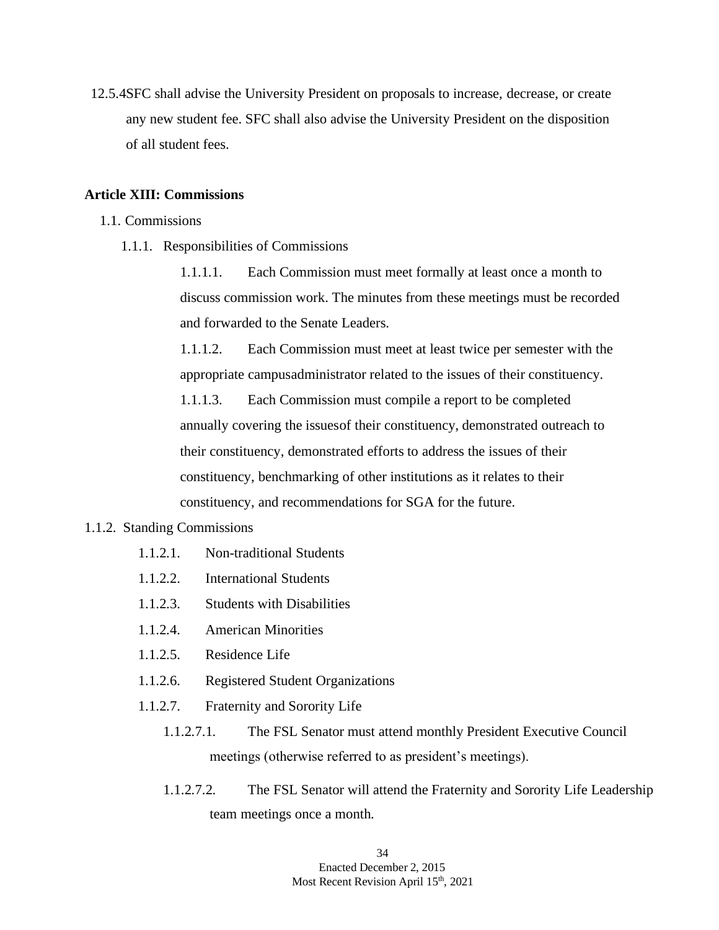12.5.4SFC shall advise the University President on proposals to increase, decrease, or create any new student fee. SFC shall also advise the University President on the disposition of all student fees.

### **Article XIII: Commissions**

- 1.1. Commissions
	- 1.1.1. Responsibilities of Commissions

1.1.1.1. Each Commission must meet formally at least once a month to discuss commission work. The minutes from these meetings must be recorded and forwarded to the Senate Leaders.

1.1.1.2. Each Commission must meet at least twice per semester with the appropriate campusadministrator related to the issues of their constituency.

1.1.1.3. Each Commission must compile a report to be completed annually covering the issuesof their constituency, demonstrated outreach to their constituency, demonstrated efforts to address the issues of their constituency, benchmarking of other institutions as it relates to their constituency, and recommendations for SGA for the future.

### 1.1.2. Standing Commissions

- 1.1.2.1. Non-traditional Students
- 1.1.2.2. International Students
- 1.1.2.3. Students with Disabilities
- 1.1.2.4. American Minorities
- 1.1.2.5. Residence Life
- 1.1.2.6. Registered Student Organizations
- 1.1.2.7. Fraternity and Sorority Life
	- 1.1.2.7.1. The FSL Senator must attend monthly President Executive Council meetings (otherwise referred to as president's meetings).
	- 1.1.2.7.2. The FSL Senator will attend the Fraternity and Sorority Life Leadership team meetings once a month.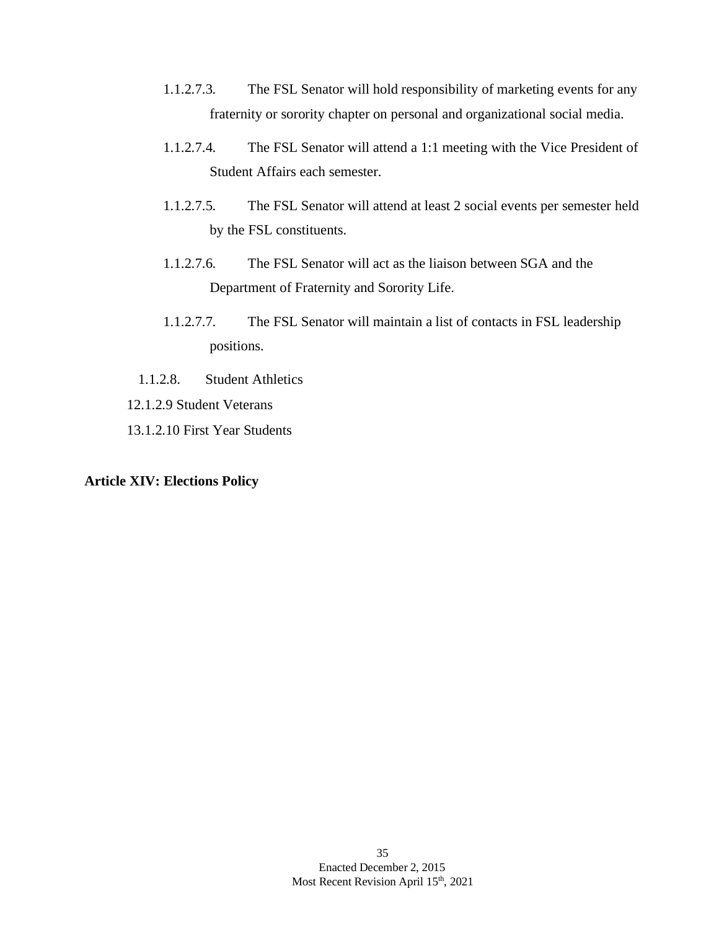- 1.1.2.7.3. The FSL Senator will hold responsibility of marketing events for any fraternity or sorority chapter on personal and organizational social media.
- 1.1.2.7.4. The FSL Senator will attend a 1:1 meeting with the Vice President of Student Affairs each semester.
- 1.1.2.7.5. The FSL Senator will attend at least 2 social events per semester held by the FSL constituents.
- 1.1.2.7.6. The FSL Senator will act as the liaison between SGA and the Department of Fraternity and Sorority Life.
- 1.1.2.7.7. The FSL Senator will maintain a list of contacts in FSL leadership positions.
- 1.1.2.8. Student Athletics
- 12.1.2.9 Student Veterans
- 13.1.2.10 First Year Students

### **Article XIV: Elections Policy**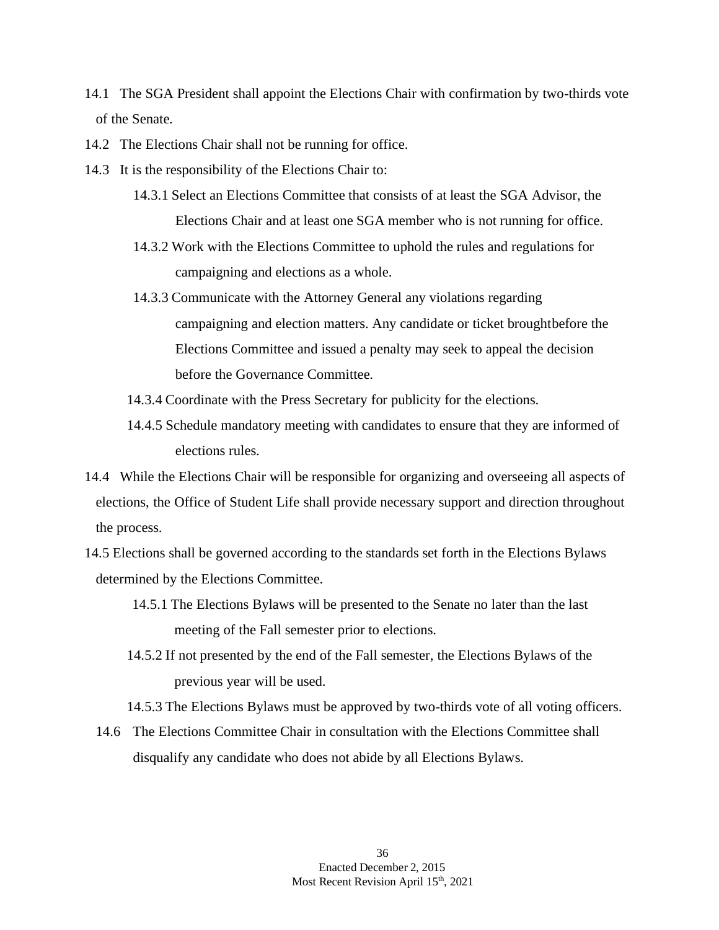- 14.1 The SGA President shall appoint the Elections Chair with confirmation by two-thirds vote of the Senate.
- 14.2 The Elections Chair shall not be running for office.
- 14.3 It is the responsibility of the Elections Chair to:
	- 14.3.1 Select an Elections Committee that consists of at least the SGA Advisor, the Elections Chair and at least one SGA member who is not running for office.
	- 14.3.2 Work with the Elections Committee to uphold the rules and regulations for campaigning and elections as a whole.
	- 14.3.3 Communicate with the Attorney General any violations regarding campaigning and election matters. Any candidate or ticket broughtbefore the Elections Committee and issued a penalty may seek to appeal the decision before the Governance Committee.
	- 14.3.4 Coordinate with the Press Secretary for publicity for the elections.
	- 14.4.5 Schedule mandatory meeting with candidates to ensure that they are informed of elections rules.
- 14.4 While the Elections Chair will be responsible for organizing and overseeing all aspects of elections, the Office of Student Life shall provide necessary support and direction throughout the process.
- 14.5 Elections shall be governed according to the standards set forth in the Elections Bylaws determined by the Elections Committee.
	- 14.5.1 The Elections Bylaws will be presented to the Senate no later than the last meeting of the Fall semester prior to elections.
	- 14.5.2 If not presented by the end of the Fall semester, the Elections Bylaws of the previous year will be used.
	- 14.5.3 The Elections Bylaws must be approved by two-thirds vote of all voting officers.
	- 14.6 The Elections Committee Chair in consultation with the Elections Committee shall disqualify any candidate who does not abide by all Elections Bylaws.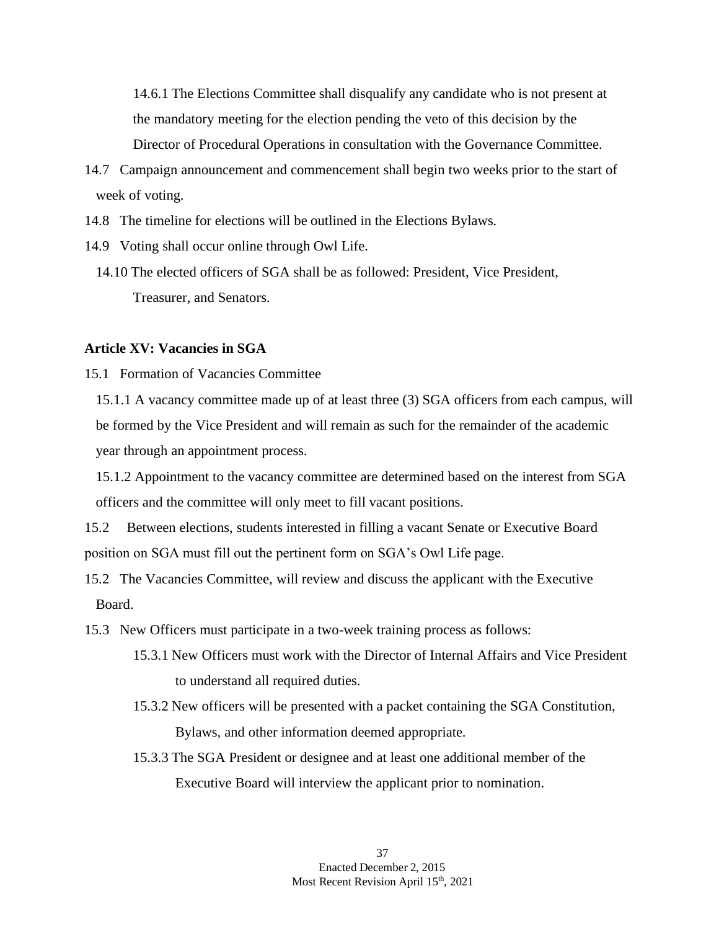14.6.1 The Elections Committee shall disqualify any candidate who is not present at the mandatory meeting for the election pending the veto of this decision by the Director of Procedural Operations in consultation with the Governance Committee.

- 14.7 Campaign announcement and commencement shall begin two weeks prior to the start of week of voting.
- 14.8 The timeline for elections will be outlined in the Elections Bylaws.
- 14.9 Voting shall occur online through Owl Life.
	- 14.10 The elected officers of SGA shall be as followed: President, Vice President, Treasurer, and Senators.

### **Article XV: Vacancies in SGA**

- 15.1 Formation of Vacancies Committee
	- 15.1.1 A vacancy committee made up of at least three (3) SGA officers from each campus, will be formed by the Vice President and will remain as such for the remainder of the academic year through an appointment process.

15.1.2 Appointment to the vacancy committee are determined based on the interest from SGA officers and the committee will only meet to fill vacant positions.

15.2 Between elections, students interested in filling a vacant Senate or Executive Board position on SGA must fill out the pertinent form on SGA's Owl Life page.

- 15.2 The Vacancies Committee, will review and discuss the applicant with the Executive Board.
- 15.3 New Officers must participate in a two-week training process as follows:
	- 15.3.1 New Officers must work with the Director of Internal Affairs and Vice President to understand all required duties.
	- 15.3.2 New officers will be presented with a packet containing the SGA Constitution, Bylaws, and other information deemed appropriate.
	- 15.3.3 The SGA President or designee and at least one additional member of the Executive Board will interview the applicant prior to nomination.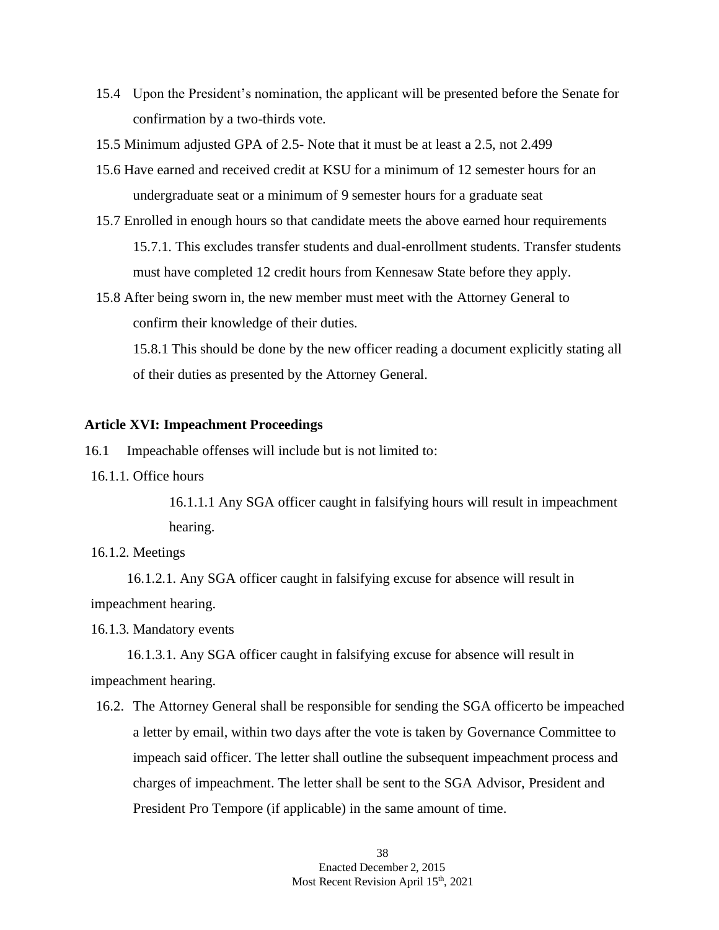- 15.4 Upon the President's nomination, the applicant will be presented before the Senate for confirmation by a two-thirds vote.
- 15.5 Minimum adjusted GPA of 2.5- Note that it must be at least a 2.5, not 2.499
- 15.6 Have earned and received credit at KSU for a minimum of 12 semester hours for an undergraduate seat or a minimum of 9 semester hours for a graduate seat
- 15.7 Enrolled in enough hours so that candidate meets the above earned hour requirements 15.7.1. This excludes transfer students and dual-enrollment students. Transfer students must have completed 12 credit hours from Kennesaw State before they apply.
- 15.8 After being sworn in, the new member must meet with the Attorney General to confirm their knowledge of their duties.

15.8.1 This should be done by the new officer reading a document explicitly stating all of their duties as presented by the Attorney General.

### **Article XVI: Impeachment Proceedings**

16.1 Impeachable offenses will include but is not limited to:

16.1.1. Office hours

16.1.1.1 Any SGA officer caught in falsifying hours will result in impeachment hearing.

#### 16.1.2. Meetings

16.1.2.1. Any SGA officer caught in falsifying excuse for absence will result in impeachment hearing.

16.1.3. Mandatory events

16.1.3.1. Any SGA officer caught in falsifying excuse for absence will result in impeachment hearing.

16.2. The Attorney General shall be responsible for sending the SGA officerto be impeached a letter by email, within two days after the vote is taken by Governance Committee to impeach said officer. The letter shall outline the subsequent impeachment process and charges of impeachment. The letter shall be sent to the SGA Advisor, President and President Pro Tempore (if applicable) in the same amount of time.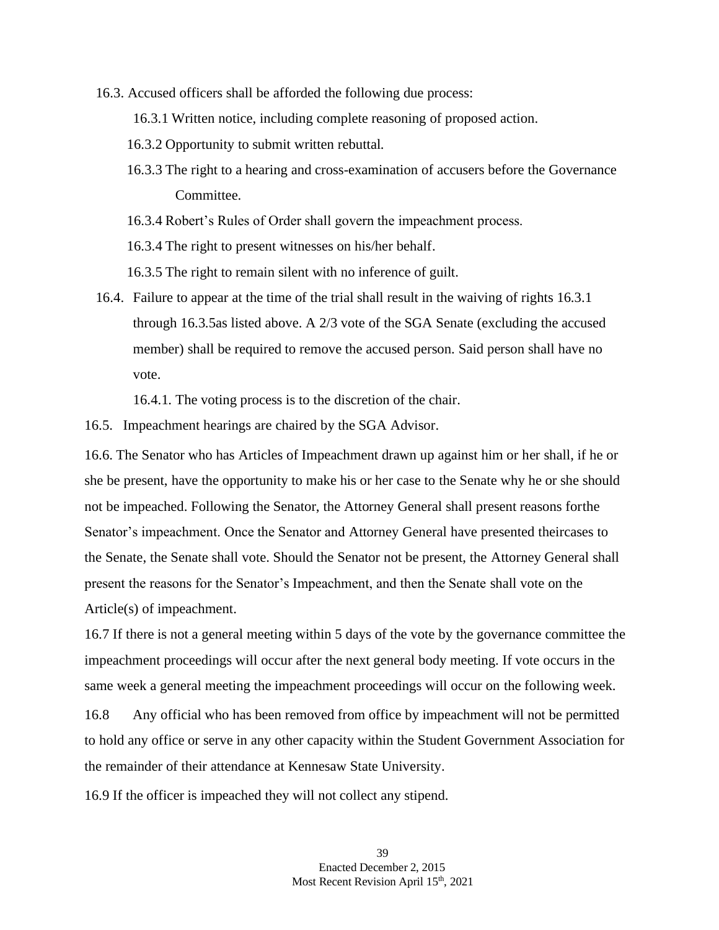- 16.3. Accused officers shall be afforded the following due process:
	- 16.3.1 Written notice, including complete reasoning of proposed action.
	- 16.3.2 Opportunity to submit written rebuttal.
	- 16.3.3 The right to a hearing and cross-examination of accusers before the Governance Committee.
	- 16.3.4 Robert's Rules of Order shall govern the impeachment process.
	- 16.3.4 The right to present witnesses on his/her behalf.
	- 16.3.5 The right to remain silent with no inference of guilt.
- 16.4. Failure to appear at the time of the trial shall result in the waiving of rights 16.3.1 through 16.3.5as listed above. A 2/3 vote of the SGA Senate (excluding the accused member) shall be required to remove the accused person. Said person shall have no vote.

16.4.1. The voting process is to the discretion of the chair.

16.5. Impeachment hearings are chaired by the SGA Advisor.

16.6. The Senator who has Articles of Impeachment drawn up against him or her shall, if he or she be present, have the opportunity to make his or her case to the Senate why he or she should not be impeached. Following the Senator, the Attorney General shall present reasons forthe Senator's impeachment. Once the Senator and Attorney General have presented theircases to the Senate, the Senate shall vote. Should the Senator not be present, the Attorney General shall present the reasons for the Senator's Impeachment, and then the Senate shall vote on the Article(s) of impeachment.

16.7 If there is not a general meeting within 5 days of the vote by the governance committee the impeachment proceedings will occur after the next general body meeting. If vote occurs in the same week a general meeting the impeachment proceedings will occur on the following week.

16.8 Any official who has been removed from office by impeachment will not be permitted to hold any office or serve in any other capacity within the Student Government Association for the remainder of their attendance at Kennesaw State University.

16.9 If the officer is impeached they will not collect any stipend.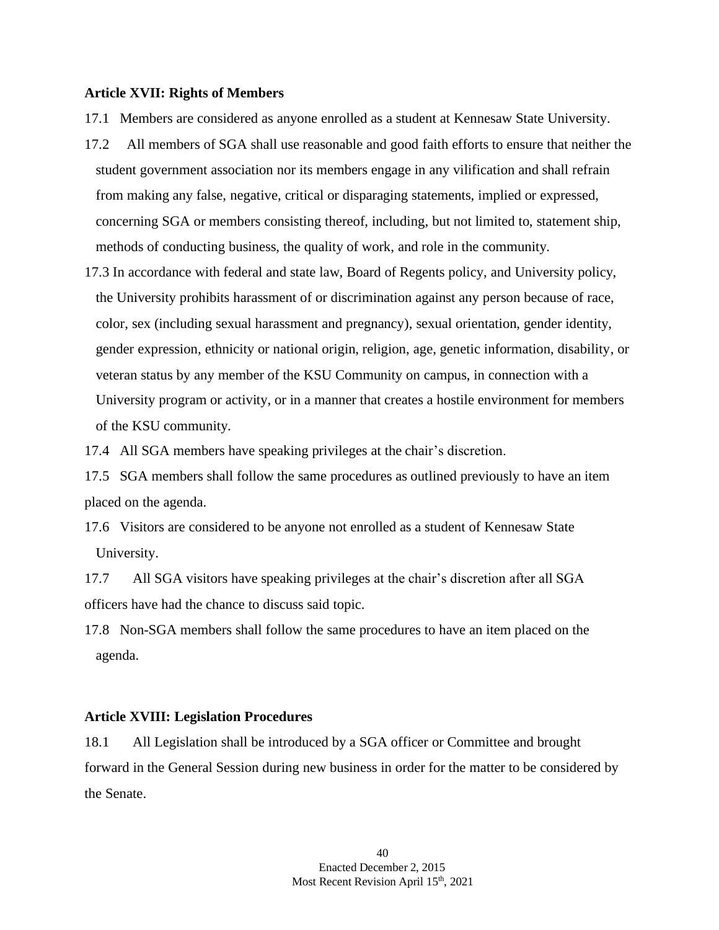#### **Article XVII: Rights of Members**

- 17.1 Members are considered as anyone enrolled as a student at Kennesaw State University.
- 17.2 All members of SGA shall use reasonable and good faith efforts to ensure that neither the student government association nor its members engage in any vilification and shall refrain from making any false, negative, critical or disparaging statements, implied or expressed, concerning SGA or members consisting thereof, including, but not limited to, statement ship, methods of conducting business, the quality of work, and role in the community.
- 17.3 In accordance with federal and state law, Board of Regents policy, and University policy, the University prohibits harassment of or discrimination against any person because of race, color, sex (including sexual harassment and pregnancy), sexual orientation, gender identity, gender expression, ethnicity or national origin, religion, age, genetic information, disability, or veteran status by any member of the KSU Community on campus, in connection with a University program or activity, or in a manner that creates a hostile environment for members of the KSU community.

17.4 All SGA members have speaking privileges at the chair's discretion.

17.5 SGA members shall follow the same procedures as outlined previously to have an item placed on the agenda.

17.6 Visitors are considered to be anyone not enrolled as a student of Kennesaw State University.

17.7 All SGA visitors have speaking privileges at the chair's discretion after all SGA officers have had the chance to discuss said topic.

17.8 Non-SGA members shall follow the same procedures to have an item placed on the agenda.

### **Article XVIII: Legislation Procedures**

18.1 All Legislation shall be introduced by a SGA officer or Committee and brought forward in the General Session during new business in order for the matter to be considered by the Senate.